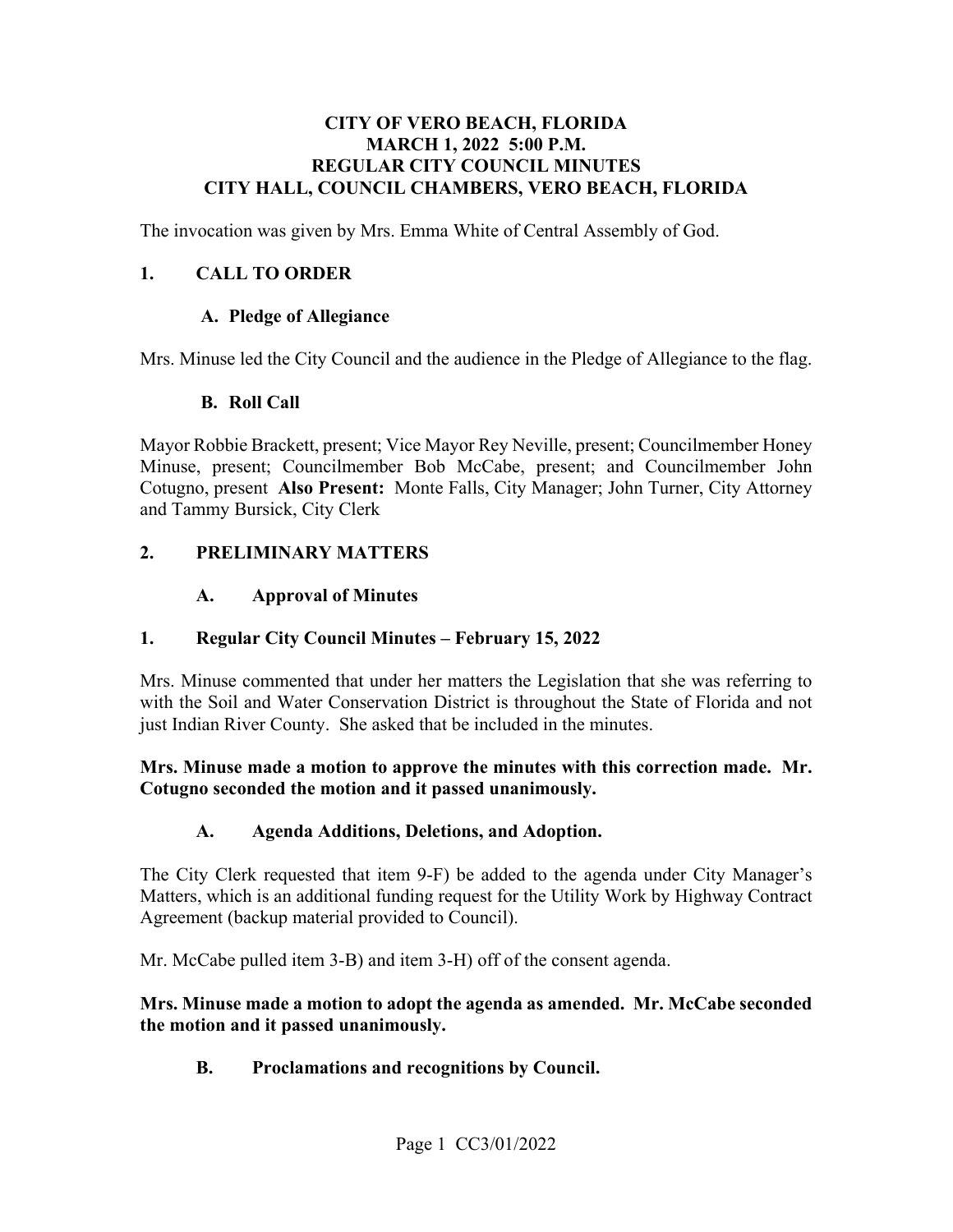#### **CITY OF VERO BEACH, FLORIDA MARCH 1, 2022 5:00 P.M. REGULAR CITY COUNCIL MINUTES CITY HALL, COUNCIL CHAMBERS, VERO BEACH, FLORIDA**

The invocation was given by Mrs. Emma White of Central Assembly of God.

#### **1. CALL TO ORDER**

#### **A. Pledge of Allegiance**

Mrs. Minuse led the City Council and the audience in the Pledge of Allegiance to the flag.

#### **B. Roll Call**

 Cotugno, present **Also Present:** Monte Falls, City Manager; John Turner, City Attorney Mayor Robbie Brackett, present; Vice Mayor Rey Neville, present; Councilmember Honey Minuse, present; Councilmember Bob McCabe, present; and Councilmember John and Tammy Bursick, City Clerk

#### **2. PRELIMINARY MATTERS**

#### $\mathbf{A}$ . **A. Approval of Minutes**

#### **1. Regular City Council Minutes – February 15, 2022**

 with the Soil and Water Conservation District is throughout the State of Florida and not just Indian River County. She asked that be included in the minutes. Mrs. Minuse commented that under her matters the Legislation that she was referring to

#### **Mrs. Minuse made a motion to approve the minutes with this correction made. Mr. Cotugno seconded the motion and it passed unanimously.**

#### **A. Agenda Additions, Deletions, and Adoption.**

 The City Clerk requested that item 9-F) be added to the agenda under City Manager's Matters, which is an additional funding request for the Utility Work by Highway Contract Agreement (backup material provided to Council).

Mr. McCabe pulled item 3-B) and item 3-H) off of the consent agenda.

#### **Mrs. Minuse made a motion to adopt the agenda as amended. Mr. McCabe seconded the motion and it passed unanimously.**

**B. Proclamations and recognitions by Council.**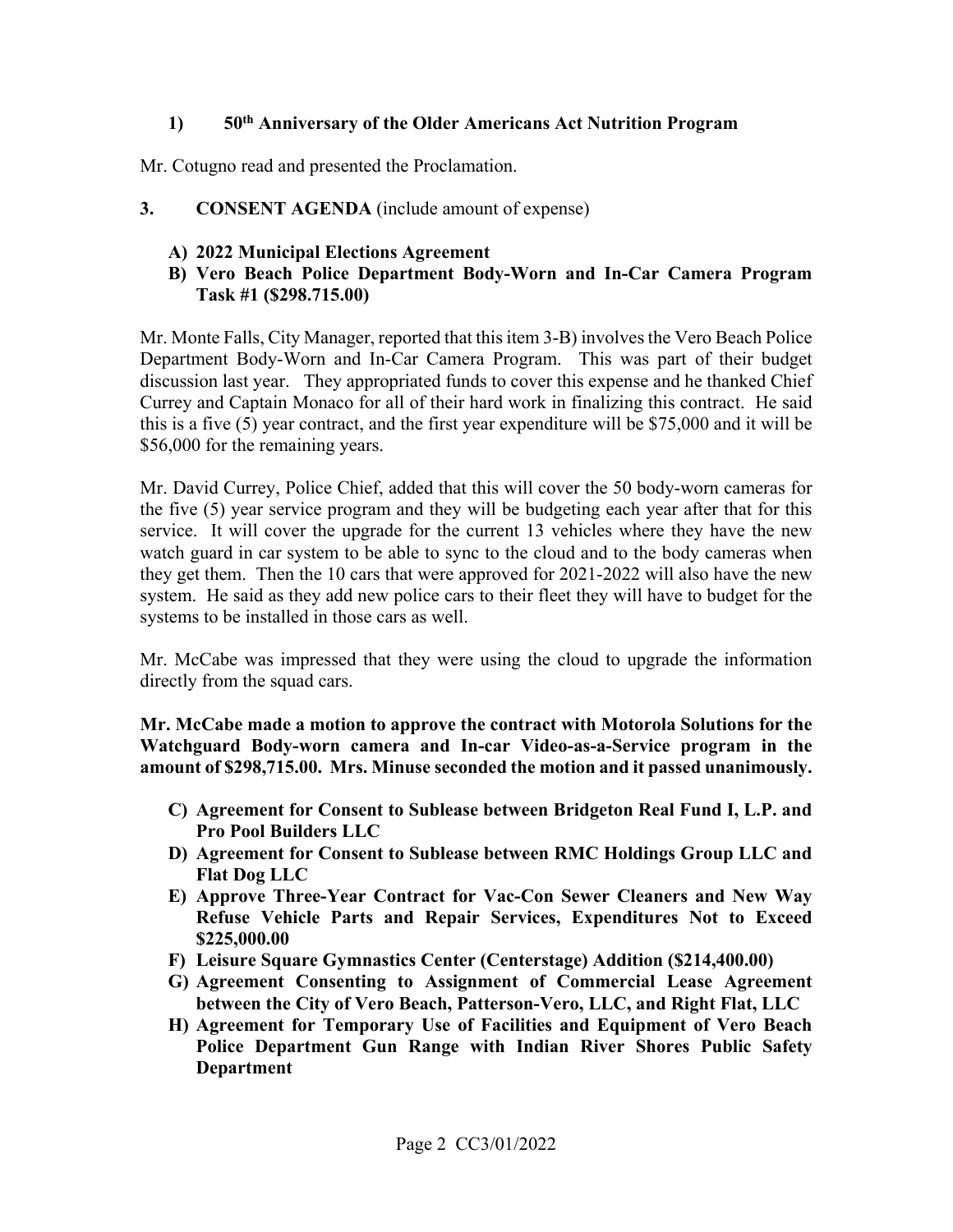#### **1) 50th Anniversary of the Older Americans Act Nutrition Program**

Mr. Cotugno read and presented the Proclamation.

- **3. CONSENT AGENDA** (include amount of expense)
	- **A) 2022 Municipal Elections Agreement**
	- **B) Vero Beach Police Department Body-Worn and In-Car Camera Program Task #1 ([\\$298.715.00](https://298.715.00))**

 discussion last year. They appropriated funds to cover this expense and he thanked Chief Mr. Monte Falls, City Manager, reported that this item 3-B) involves the Vero Beach Police Department Body-Worn and In-Car Camera Program. This was part of their budget Currey and Captain Monaco for all of their hard work in finalizing this contract. He said this is a five (5) year contract, and the first year expenditure will be \$75,000 and it will be \$56,000 for the remaining years.

 the five (5) year service program and they will be budgeting each year after that for this service. It will cover the upgrade for the current 13 vehicles where they have the new system. He said as they add new police cars to their fleet they will have to budget for the Mr. David Currey, Police Chief, added that this will cover the 50 body-worn cameras for watch guard in car system to be able to sync to the cloud and to the body cameras when they get them. Then the 10 cars that were approved for 2021-2022 will also have the new systems to be installed in those cars as well.

Mr. McCabe was impressed that they were using the cloud to upgrade the information directly from the squad cars.

amount of \$298,715.00. Mrs. Minuse seconded the motion and it passed unanimously. **Mr. McCabe made a motion to approve the contract with Motorola Solutions for the Watchguard Body-worn camera and In-car Video-as-a-Service program in the** 

- **C**) Agreement for Consent to Sublease between Bridgeton Real Fund I, L.P. and **Pro Pool Builders LLC**
- **D) Agreement for Consent to Sublease between RMC Holdings Group LLC and Flat Dog LLC**
- **E) Approve Three-Year Contract for Vac-Con Sewer Cleaners and New Way Refuse Vehicle Parts and Repair Services, Expenditures Not to Exceed \$[225,000.00](https://225,000.00)**
- **F) Leisure Square Gymnastics Center (Centerstage) Addition ([\\$214,400.00](https://214,400.00))**
- **G) Agreement Consenting to Assignment of Commercial Lease Agreement between the City of Vero Beach, Patterson-Vero, LLC, and Right Flat, LLC**
- **H) Agreement for Temporary Use of Facilities and Equipment of Vero Beach Police Department Gun Range with Indian River Shores Public Safety Department**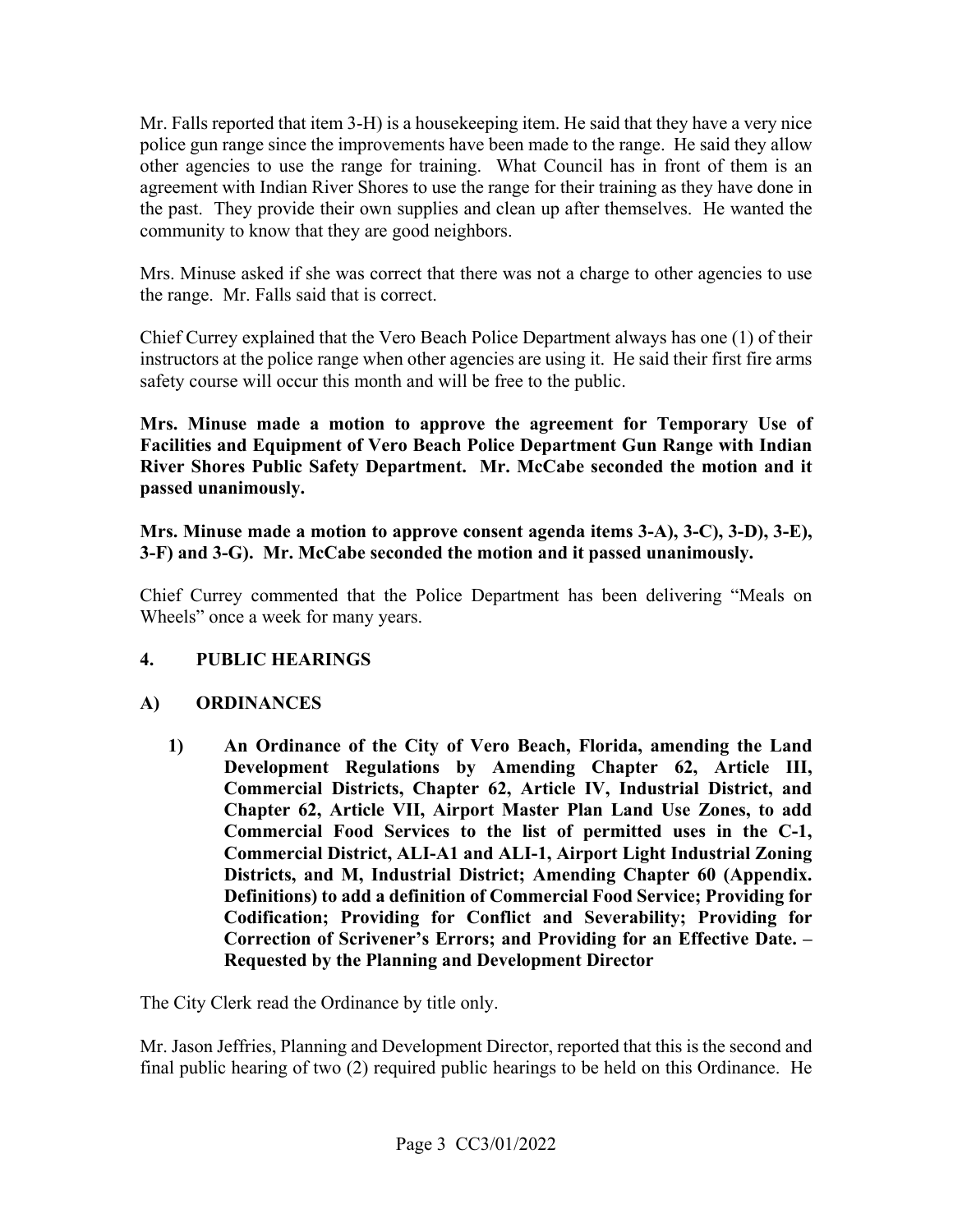other agencies to use the range for training. What Council has in front of them is an community to know that they are good neighbors. Mr. Falls reported that item 3-H) is a housekeeping item. He said that they have a very nice police gun range since the improvements have been made to the range. He said they allow agreement with Indian River Shores to use the range for their training as they have done in the past. They provide their own supplies and clean up after themselves. He wanted the

community to know that they are good neighbors.<br>Mrs. Minuse asked if she was correct that there was not a charge to other agencies to use the range. Mr. Falls said that is correct.

 Chief Currey explained that the Vero Beach Police Department always has one (1) of their instructors at the police range when other agencies are using it. He said their first fire arms safety course will occur this month and will be free to the public.

passed unanimously. **Mrs. Minuse made a motion to approve the agreement for Temporary Use of Facilities and Equipment of Vero Beach Police Department Gun Range with Indian River Shores Public Safety Department. Mr. McCabe seconded the motion and it** 

**Mrs. Minuse made a motion to approve consent agenda items 3-A), 3-C), 3-D), 3-E), 3-F) and 3-G). Mr. McCabe seconded the motion and it passed unanimously.** 

 Wheels" once a week for many years. Chief Currey commented that the Police Department has been delivering "Meals on

#### **4. PUBLIC HEARINGS**

#### **A) ORDINANCES**

**1) An Ordinance of the City of Vero Beach, Florida, amending the Land Development Regulations by Amending Chapter 62, Article III, Commercial Districts, Chapter 62, Article IV, Industrial District, and Chapter 62, Article VII, Airport Master Plan Land Use Zones, to add Commercial Food Services to the list of permitted uses in the C-1, Commercial District, ALI-A1 and ALI-1, Airport Light Industrial Zoning Districts, and M, Industrial District; Amending Chapter 60 (Appendix. Definitions) to add a definition of Commercial Food Service; Providing for Codification; Providing for Conflict and Severability; Providing for Correction of Scrivener's Errors; and Providing for an Effective Date. – Requested by the Planning and Development Director** 

The City Clerk read the Ordinance by title only.

Mr. Jason Jeffries, Planning and Development Director, reported that this is the second and final public hearing of two (2) required public hearings to be held on this Ordinance. He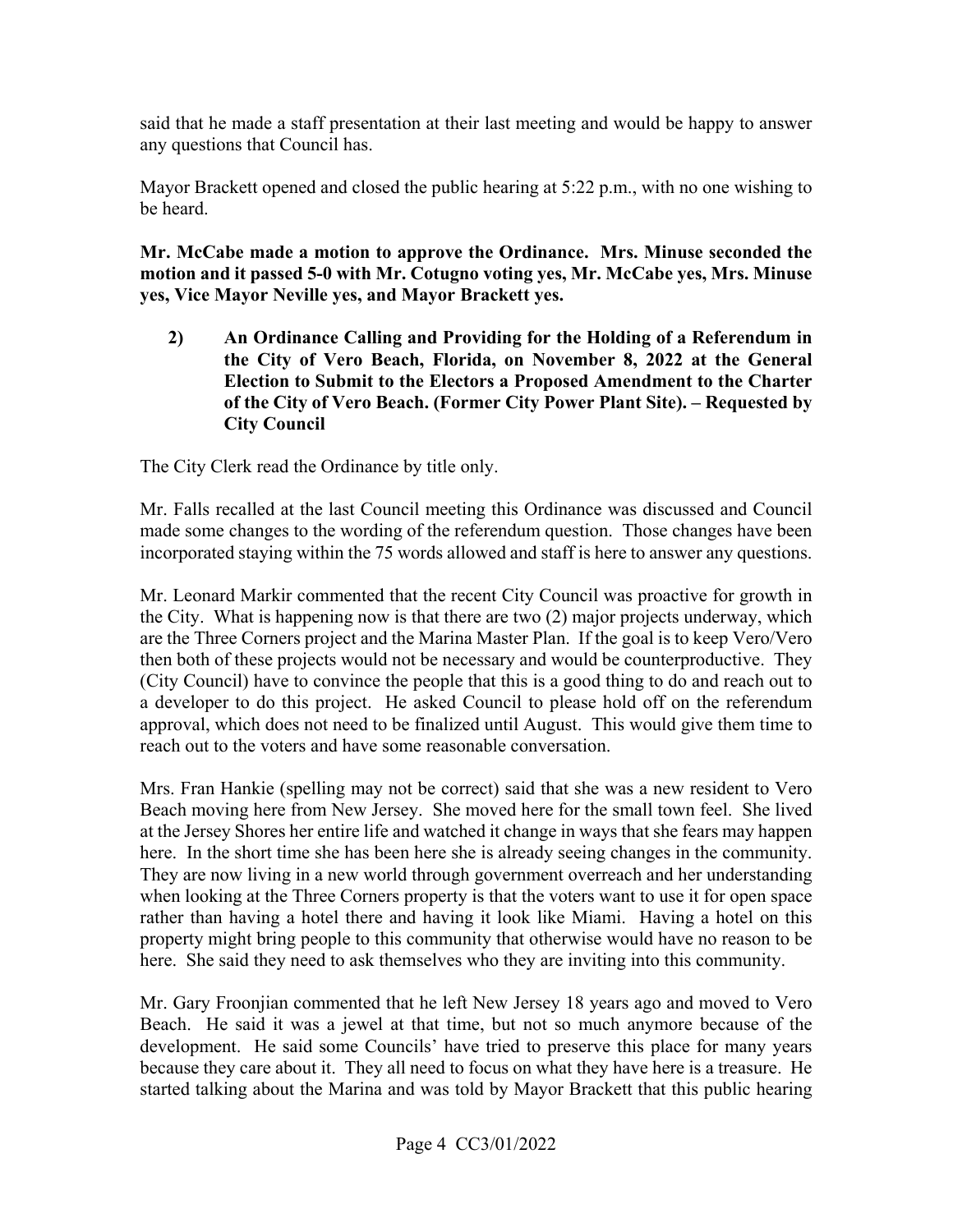said that he made a staff presentation at their last meeting and would be happy to answer any questions that Council has.

Mayor Brackett opened and closed the public hearing at 5:22 p.m., with no one wishing to be heard.

**Mr. McCabe made a motion to approve the Ordinance. Mrs. Minuse seconded the motion and it passed 5-0 with Mr. Cotugno voting yes, Mr. McCabe yes, Mrs. Minuse yes, Vice Mayor Neville yes, and Mayor Brackett yes.** 

 **Election to Submit to the Electors a Proposed Amendment to the Charter 2) An Ordinance Calling and Providing for the Holding of a Referendum in the City of Vero Beach, Florida, on November 8, 2022 at the General of the City of Vero Beach. (Former City Power Plant Site). – Requested by City Council** 

The City Clerk read the Ordinance by title only.

incorporated staying within the 75 words allowed and staff is here to answer any questions. Mr. Falls recalled at the last Council meeting this Ordinance was discussed and Council made some changes to the wording of the referendum question. Those changes have been

 are the Three Corners project and the Marina Master Plan. If the goal is to keep Vero/Vero then both of these projects would not be necessary and would be counterproductive. They (City Council) have to convince the people that this is a good thing to do and reach out to a developer to do this project. He asked Council to please hold off on the referendum Mr. Leonard Markir commented that the recent City Council was proactive for growth in the City. What is happening now is that there are two (2) major projects underway, which approval, which does not need to be finalized until August. This would give them time to reach out to the voters and have some reasonable conversation.

 Beach moving here from New Jersey. She moved here for the small town feel. She lived at the Jersey Shores her entire life and watched it change in ways that she fears may happen here. In the short time she has been here she is already seeing changes in the community. They are now living in a new world through government overreach and her understanding rather than having a hotel there and having it look like Miami. Having a hotel on this Mrs. Fran Hankie (spelling may not be correct) said that she was a new resident to Vero when looking at the Three Corners property is that the voters want to use it for open space property might bring people to this community that otherwise would have no reason to be here. She said they need to ask themselves who they are inviting into this community.

 development. He said some Councils' have tried to preserve this place for many years because they care about it. They all need to focus on what they have here is a treasure. He Mr. Gary Froonjian commented that he left New Jersey 18 years ago and moved to Vero Beach. He said it was a jewel at that time, but not so much anymore because of the started talking about the Marina and was told by Mayor Brackett that this public hearing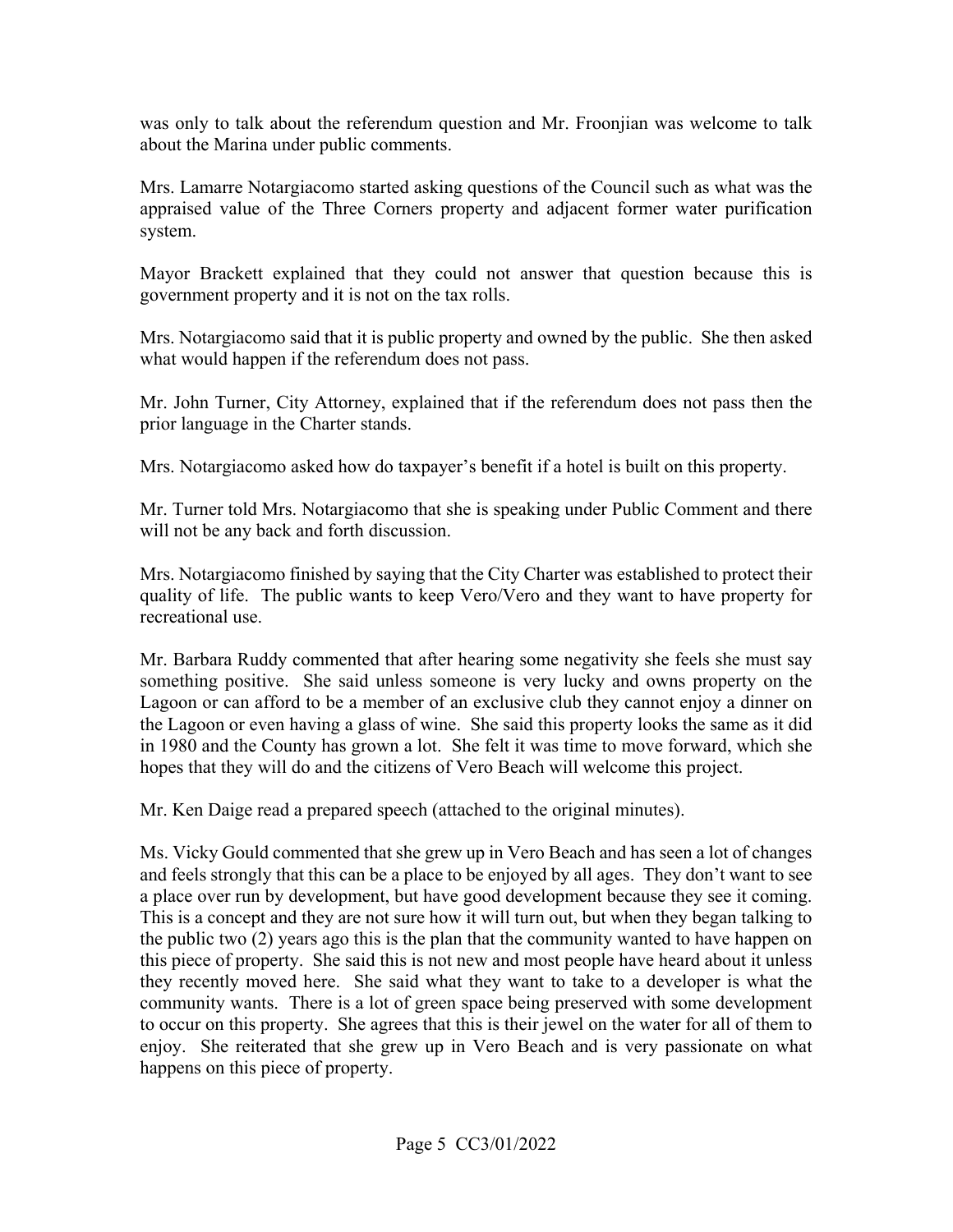was only to talk about the referendum question and Mr. Froonjian was welcome to talk about the Marina under public comments.

 Mrs. Lamarre Notargiacomo started asking questions of the Council such as what was the appraised value of the Three Corners property and adjacent former water purification system.

Mayor Brackett explained that they could not answer that question because this is government property and it is not on the tax rolls.

 Mrs. Notargiacomo said that it is public property and owned by the public. She then asked what would happen if the referendum does not pass.

 Mr. John Turner, City Attorney, explained that if the referendum does not pass then the prior language in the Charter stands.

Mrs. Notargiacomo asked how do taxpayer's benefit if a hotel is built on this property.

Mr. Turner told Mrs. Notargiacomo that she is speaking under Public Comment and there will not be any back and forth discussion.

Mrs. Notargiacomo finished by saying that the City Charter was established to protect their quality of life. The public wants to keep Vero/Vero and they want to have property for recreational use.

 Mr. Barbara Ruddy commented that after hearing some negativity she feels she must say something positive. She said unless someone is very lucky and owns property on the the Lagoon or even having a glass of wine. She said this property looks the same as it did Lagoon or can afford to be a member of an exclusive club they cannot enjoy a dinner on in 1980 and the County has grown a lot. She felt it was time to move forward, which she hopes that they will do and the citizens of Vero Beach will welcome this project.

Mr. Ken Daige read a prepared speech (attached to the original minutes).

 Mr. Ken Daige read a prepared speech (attached to the original minutes). Ms. Vicky Gould commented that she grew up in Vero Beach and has seen a lot of changes and feels strongly that this can be a place to be enjoyed by all ages. They don't want to see a place over run by development, but have good development because they see it coming. This is a concept and they are not sure how it will turn out, but when they began talking to the public two (2) years ago this is the plan that the community wanted to have happen on this piece of property. She said this is not new and most people have heard about it unless they recently moved here. She said what they want to take to a developer is what the enjoy. She reiterated that she grew up in Vero Beach and is very passionate on what community wants. There is a lot of green space being preserved with some development to occur on this property. She agrees that this is their jewel on the water for all of them to happens on this piece of property.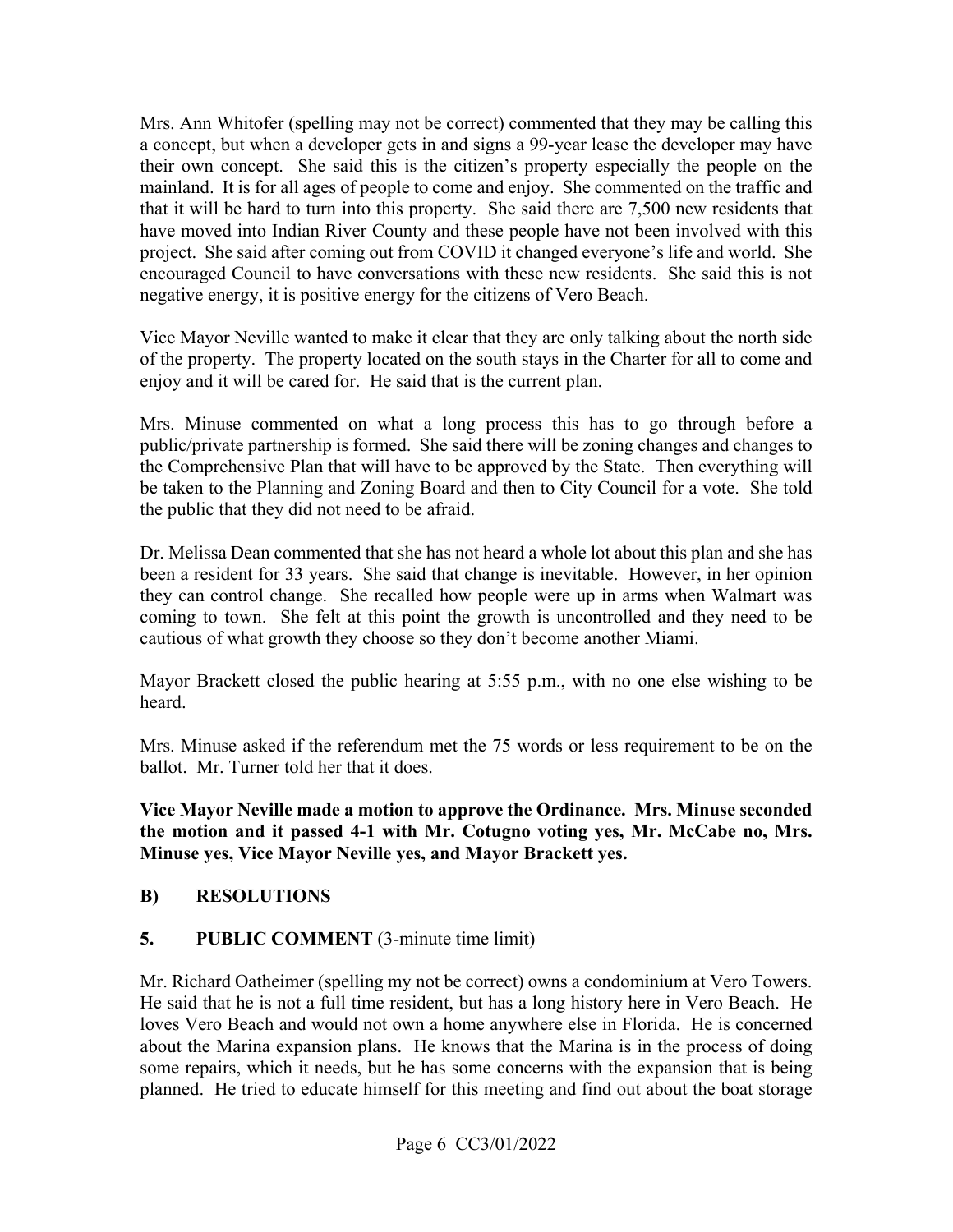a concept, but when a developer gets in and signs a 99-year lease the developer may have project. She said after coming out from COVID it changed everyone's life and world. She negative energy, it is positive energy for the citizens of Vero Beach. Mrs. Ann Whitofer (spelling may not be correct) commented that they may be calling this their own concept. She said this is the citizen's property especially the people on the mainland. It is for all ages of people to come and enjoy. She commented on the traffic and that it will be hard to turn into this property. She said there are 7,500 new residents that have moved into Indian River County and these people have not been involved with this encouraged Council to have conversations with these new residents. She said this is not

 Vice Mayor Neville wanted to make it clear that they are only talking about the north side enjoy and it will be cared for. He said that is the current plan. of the property. The property located on the south stays in the Charter for all to come and

 be taken to the Planning and Zoning Board and then to City Council for a vote. She told Mrs. Minuse commented on what a long process this has to go through before a public/private partnership is formed. She said there will be zoning changes and changes to the Comprehensive Plan that will have to be approved by the State. Then everything will the public that they did not need to be afraid.

 Dr. Melissa Dean commented that she has not heard a whole lot about this plan and she has cautious of what growth they choose so they don't become another Miami. been a resident for 33 years. She said that change is inevitable. However, in her opinion they can control change. She recalled how people were up in arms when Walmart was coming to town. She felt at this point the growth is uncontrolled and they need to be

Mayor Brackett closed the public hearing at 5:55 p.m., with no one else wishing to be heard.

 Mrs. Minuse asked if the referendum met the 75 words or less requirement to be on the ballot. Mr. Turner told her that it does.

 **the motion and it passed 4-1 with Mr. Cotugno voting yes, Mr. McCabe no, Mrs. Vice Mayor Neville made a motion to approve the Ordinance. Mrs. Minuse seconded Minuse yes, Vice Mayor Neville yes, and Mayor Brackett yes.** 

#### **B) RESOLUTIONS**

#### **5.** PUBLIC COMMENT (3-minute time limit)

 He said that he is not a full time resident, but has a long history here in Vero Beach. He loves Vero Beach and would not own a home anywhere else in Florida. He is concerned some repairs, which it needs, but he has some concerns with the expansion that is being Mr. Richard Oatheimer (spelling my not be correct) owns a condominium at Vero Towers. about the Marina expansion plans. He knows that the Marina is in the process of doing planned. He tried to educate himself for this meeting and find out about the boat storage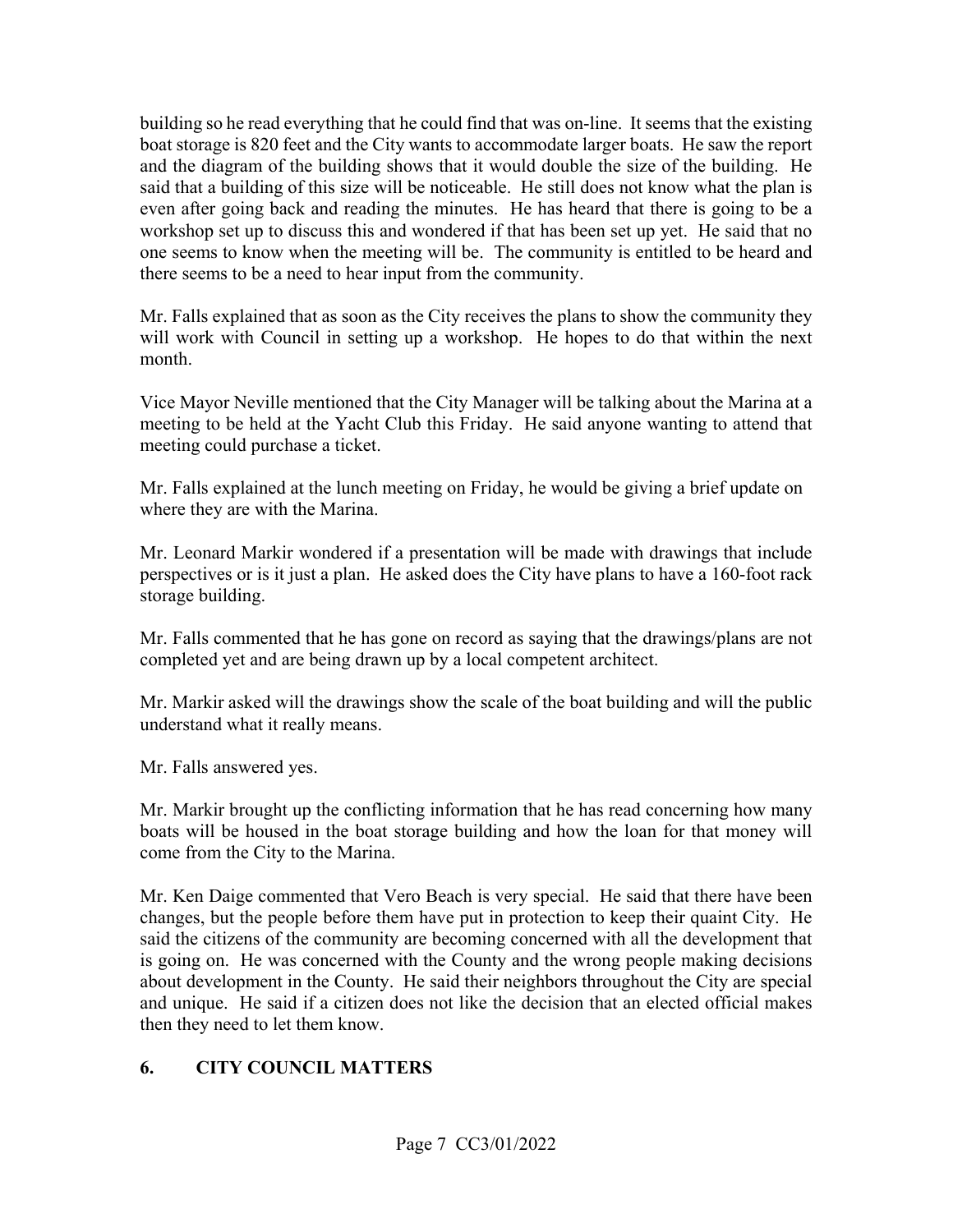building so he read everything that he could find that was on-line. It seems that the existing boat storage is 820 feet and the City wants to accommodate larger boats. He saw the report and the diagram of the building shows that it would double the size of the building. He said that a building of this size will be noticeable. He still does not know what the plan is there seems to be a need to hear input from the community. even after going back and reading the minutes. He has heard that there is going to be a workshop set up to discuss this and wondered if that has been set up yet. He said that no one seems to know when the meeting will be. The community is entitled to be heard and

 Mr. Falls explained that as soon as the City receives the plans to show the community they will work with Council in setting up a workshop. He hopes to do that within the next month.

Vice Mayor Neville mentioned that the City Manager will be talking about the Marina at a meeting to be held at the Yacht Club this Friday. He said anyone wanting to attend that meeting could purchase a ticket.

 where they are with the Marina. Mr. Falls explained at the lunch meeting on Friday, he would be giving a brief update on

 perspectives or is it just a plan. He asked does the City have plans to have a 160-foot rack Mr. Leonard Markir wondered if a presentation will be made with drawings that include storage building.

 Mr. Falls commented that he has gone on record as saying that the drawings/plans are not completed yet and are being drawn up by a local competent architect.

 Mr. Markir asked will the drawings show the scale of the boat building and will the public understand what it really means.

Mr. Falls answered yes.

 boats will be housed in the boat storage building and how the loan for that money will come from the City to the Marina. Mr. Markir brought up the conflicting information that he has read concerning how many

 Mr. Ken Daige commented that Vero Beach is very special. He said that there have been said the citizens of the community are becoming concerned with all the development that about development in the County. He said their neighbors throughout the City are special and unique. He said if a citizen does not like the decision that an elected official makes changes, but the people before them have put in protection to keep their quaint City. He is going on. He was concerned with the County and the wrong people making decisions then they need to let them know.

#### **6. CITY COUNCIL MATTERS**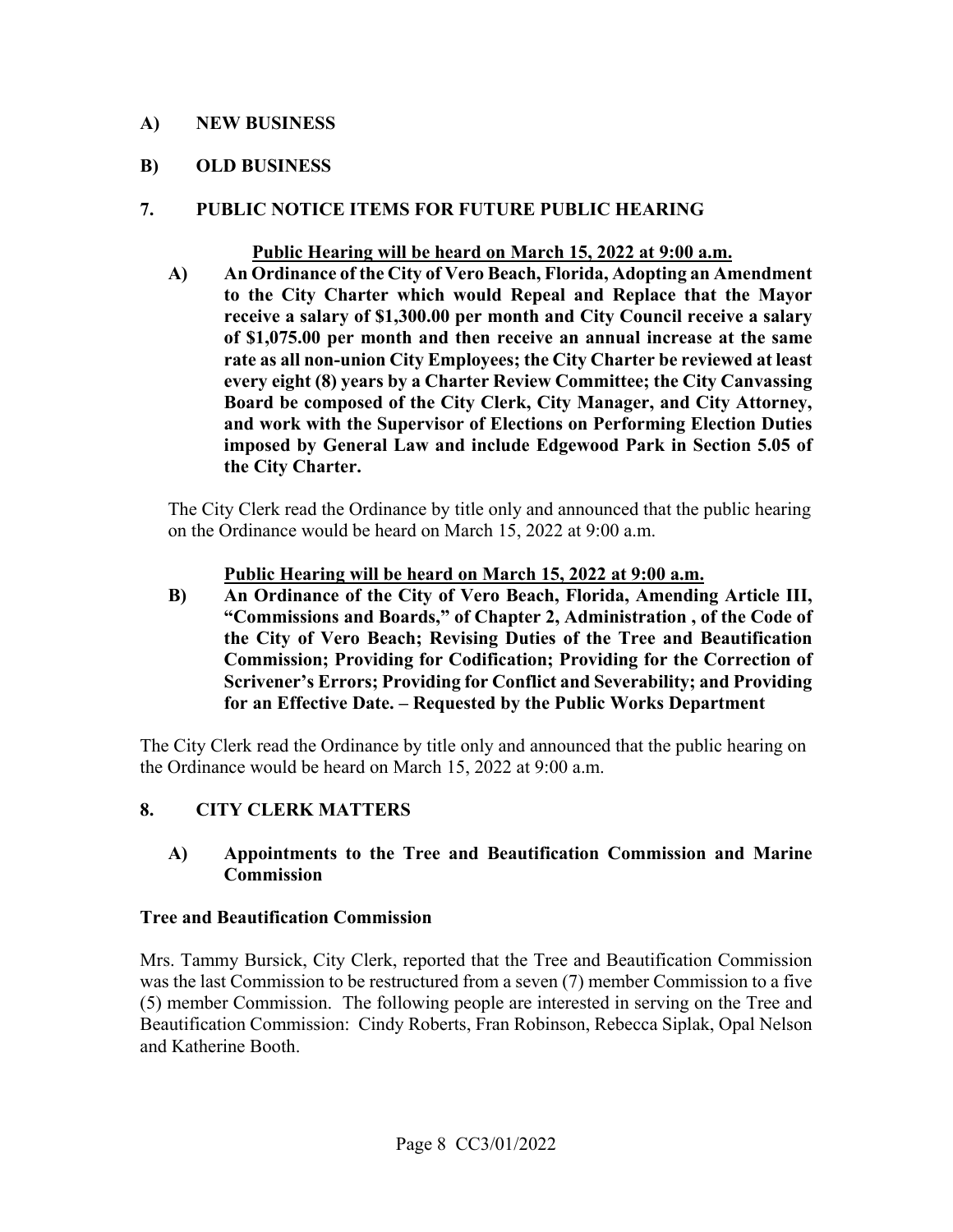#### **A) NEW BUSINESS**

**B) OLD BUSINESS** 

# PUBLIC NOTICE ITEMS FOR FUTURE PUBLIC HEARING **7. PUBLIC NOTICE ITEMS FOR FUTURE PUBLIC HEARING Public Hearing will be heard on March 15, 2022 at 9:00 a.m.**

 **rate as all non-union City Employees; the City Charter be reviewed at least and work with the Supervisor of Elections on Performing Election Duties A) An Ordinance of the City of Vero Beach, Florida, Adopting an Amendment to the City Charter which would Repeal and Replace that the Mayor receive a salary of [\\$1,300.00](https://1,300.00) per month and City Council receive a salary of [\\$1,075.00](https://1,075.00) per month and then receive an annual increase at the same every eight (8) years by a Charter Review Committee; the City Canvassing Board be composed of the City Clerk, City Manager, and City Attorney, imposed by General Law and include Edgewood Park in Section 5.05 of the City Charter.** 

The City Clerk read the Ordinance by title only and announced that the public hearing on the Ordinance would be heard on March 15, 2022 at 9:00 a.m.

#### **Public Hearing will be heard on March 15, 2022 at 9:00 a.m.**

 **"Commissions and Boards," of Chapter 2, Administration , of the Code of B) An Ordinance of the City of Vero Beach, Florida, Amending Article III, the City of Vero Beach; Revising Duties of the Tree and Beautification Commission; Providing for Codification; Providing for the Correction of Scrivener's Errors; Providing for Conflict and Severability; and Providing for an Effective Date. – Requested by the Public Works Department** 

The City Clerk read the Ordinance by title only and announced that the public hearing on the Ordinance would be heard on March 15, 2022 at 9:00 a.m.

#### **8. CITY CLERK MATTERS**

#### **A) Appointments to the Tree and Beautification Commission and Marine Commission**

#### **Tree and Beautification Commission**

Mrs. Tammy Bursick, City Clerk, reported that the Tree and Beautification Commission was the last Commission to be restructured from a seven (7) member Commission to a five (5) member Commission. The following people are interested in serving on the Tree and Beautification Commission: Cindy Roberts, Fran Robinson, Rebecca Siplak, Opal Nelson and Katherine Booth.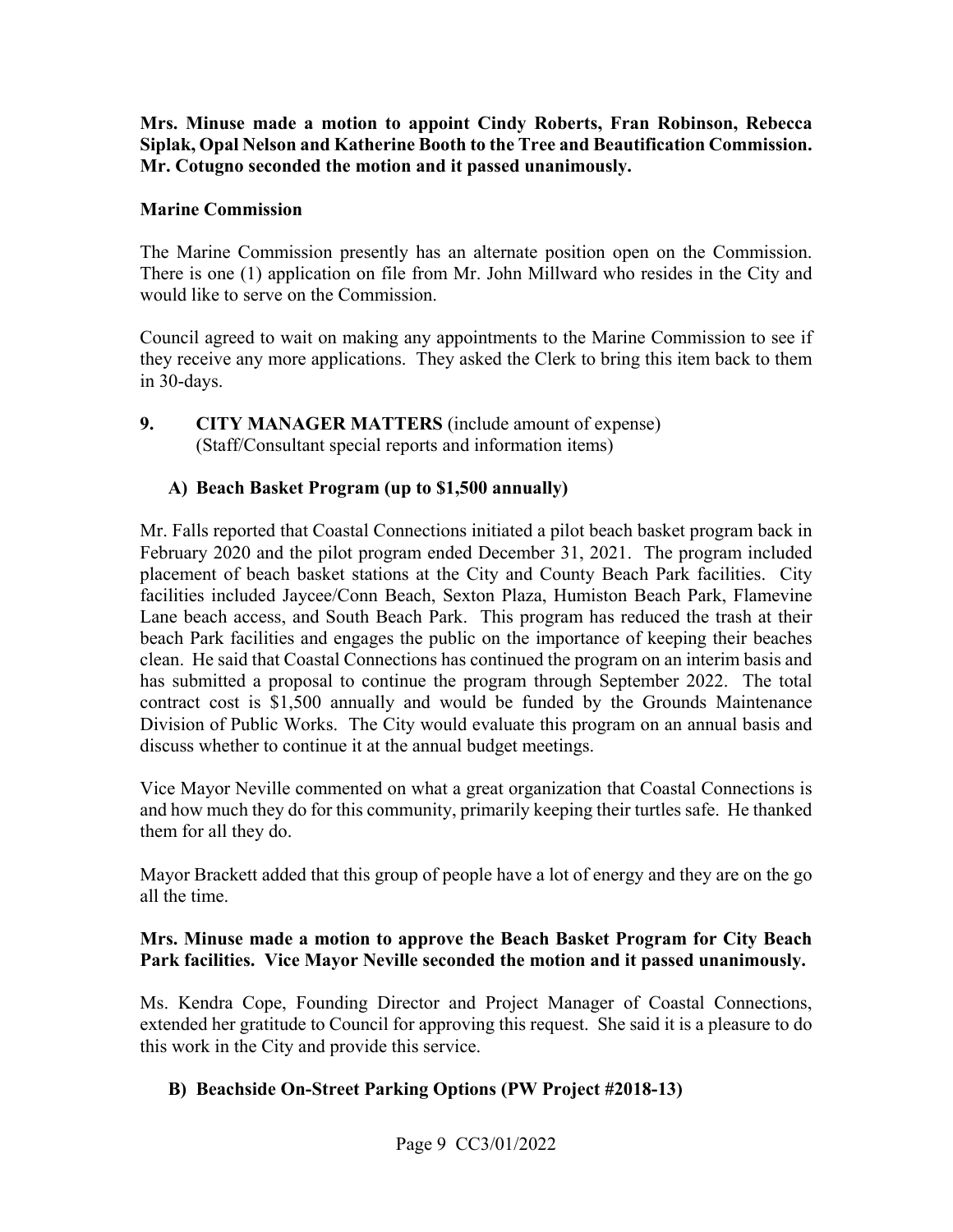# **Siplak, Opal Nelson and Katherine Booth to the Tree and Beautification Commission. Mr. Cotugno seconded the motion and it passed unanimously. Mrs. Minuse made a motion to appoint Cindy Roberts, Fran Robinson, Rebecca**

#### **Marine Commission**

 There is one (1) application on file from Mr. John Millward who resides in the City and The Marine Commission presently has an alternate position open on the Commission. would like to serve on the Commission.

Council agreed to wait on making any appointments to the Marine Commission to see if they receive any more applications. They asked the Clerk to bring this item back to them in 30-days.

#### $\mathbf{Q}$  (Staff/Consultant special reports and information items) **9. CITY MANAGER MATTERS** (include amount of expense)

#### **A) Beach Basket Program (up to \$1,500 annually)**

 placement of beach basket stations at the City and County Beach Park facilities. City Lane beach access, and South Beach Park. This program has reduced the trash at their clean. He said that Coastal Connections has continued the program on an interim basis and has submitted a proposal to continue the program through September 2022. The total discuss whether to continue it at the annual budget meetings. Mr. Falls reported that Coastal Connections initiated a pilot beach basket program back in February 2020 and the pilot program ended December 31, 2021. The program included facilities included Jaycee/Conn Beach, Sexton Plaza, Humiston Beach Park, Flamevine beach Park facilities and engages the public on the importance of keeping their beaches contract cost is \$1,500 annually and would be funded by the Grounds Maintenance Division of Public Works. The City would evaluate this program on an annual basis and

Vice Mayor Neville commented on what a great organization that Coastal Connections is and how much they do for this community, primarily keeping their turtles safe. He thanked them for all they do.

 all the time. Mayor Brackett added that this group of people have a lot of energy and they are on the go

#### **Mrs. Minuse made a motion to approve the Beach Basket Program for City Beach Park facilities. Vice Mayor Neville seconded the motion and it passed unanimously.**

Ms. Kendra Cope, Founding Director and Project Manager of Coastal Connections, extended her gratitude to Council for approving this request. She said it is a pleasure to do this work in the City and provide this service.

#### **B) Beachside On-Street Parking Options (PW Project #2018-13)**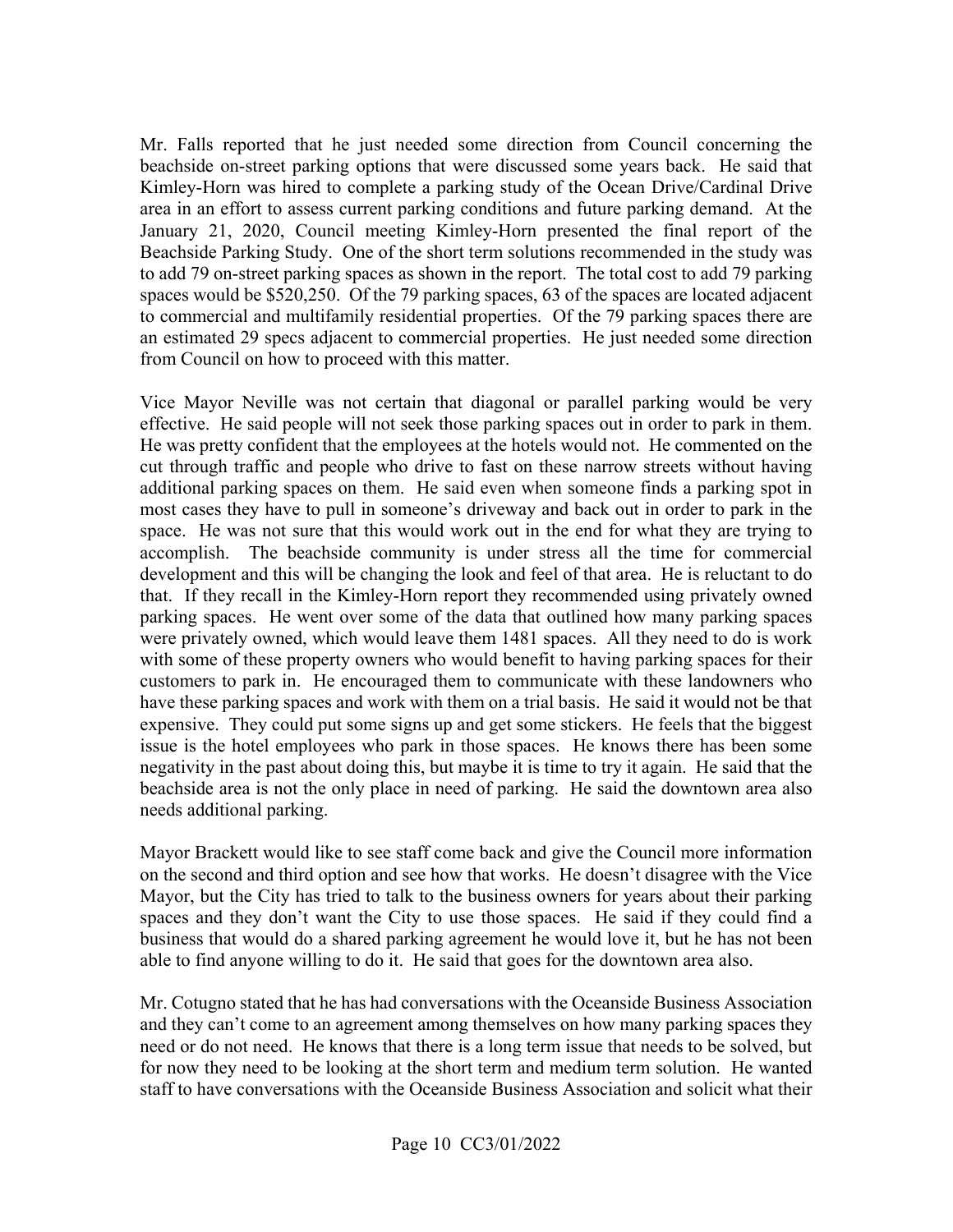Kimley-Horn was hired to complete a parking study of the Ocean Drive/Cardinal Drive area in an effort to assess current parking conditions and future parking demand. At the January 21, 2020, Council meeting Kimley-Horn presented the final report of the to commercial and multifamily residential properties. Of the 79 parking spaces there are Mr. Falls reported that he just needed some direction from Council concerning the beachside on-street parking options that were discussed some years back. He said that Beachside Parking Study. One of the short term solutions recommended in the study was to add 79 on-street parking spaces as shown in the report. The total cost to add 79 parking spaces would be \$520,250. Of the 79 parking spaces, 63 of the spaces are located adjacent an estimated 29 specs adjacent to commercial properties. He just needed some direction from Council on how to proceed with this matter.

 Vice Mayor Neville was not certain that diagonal or parallel parking would be very effective. He said people will not seek those parking spaces out in order to park in them. He was pretty confident that the employees at the hotels would not. He commented on the cut through traffic and people who drive to fast on these narrow streets without having additional parking spaces on them. He said even when someone finds a parking spot in most cases they have to pull in someone's driveway and back out in order to park in the space. He was not sure that this would work out in the end for what they are trying to that. If they recall in the Kimley-Horn report they recommended using privately owned were privately owned, which would leave them 1481 spaces. All they need to do is work negativity in the past about doing this, but maybe it is time to try it again. He said that the beachside area is not the only place in need of parking. He said the downtown area also accomplish. The beachside community is under stress all the time for commercial development and this will be changing the look and feel of that area. He is reluctant to do parking spaces. He went over some of the data that outlined how many parking spaces with some of these property owners who would benefit to having parking spaces for their customers to park in. He encouraged them to communicate with these landowners who have these parking spaces and work with them on a trial basis. He said it would not be that expensive. They could put some signs up and get some stickers. He feels that the biggest issue is the hotel employees who park in those spaces. He knows there has been some needs additional parking.

 Mayor Brackett would like to see staff come back and give the Council more information on the second and third option and see how that works. He doesn't disagree with the Vice Mayor, but the City has tried to talk to the business owners for years about their parking spaces and they don't want the City to use those spaces. He said if they could find a able to find anyone willing to do it. He said that goes for the downtown area also. business that would do a shared parking agreement he would love it, but he has not been

Mr. Cotugno stated that he has had conversations with the Oceanside Business Association and they can't come to an agreement among themselves on how many parking spaces they need or do not need. He knows that there is a long term issue that needs to be solved, but for now they need to be looking at the short term and medium term solution. He wanted staff to have conversations with the Oceanside Business Association and solicit what their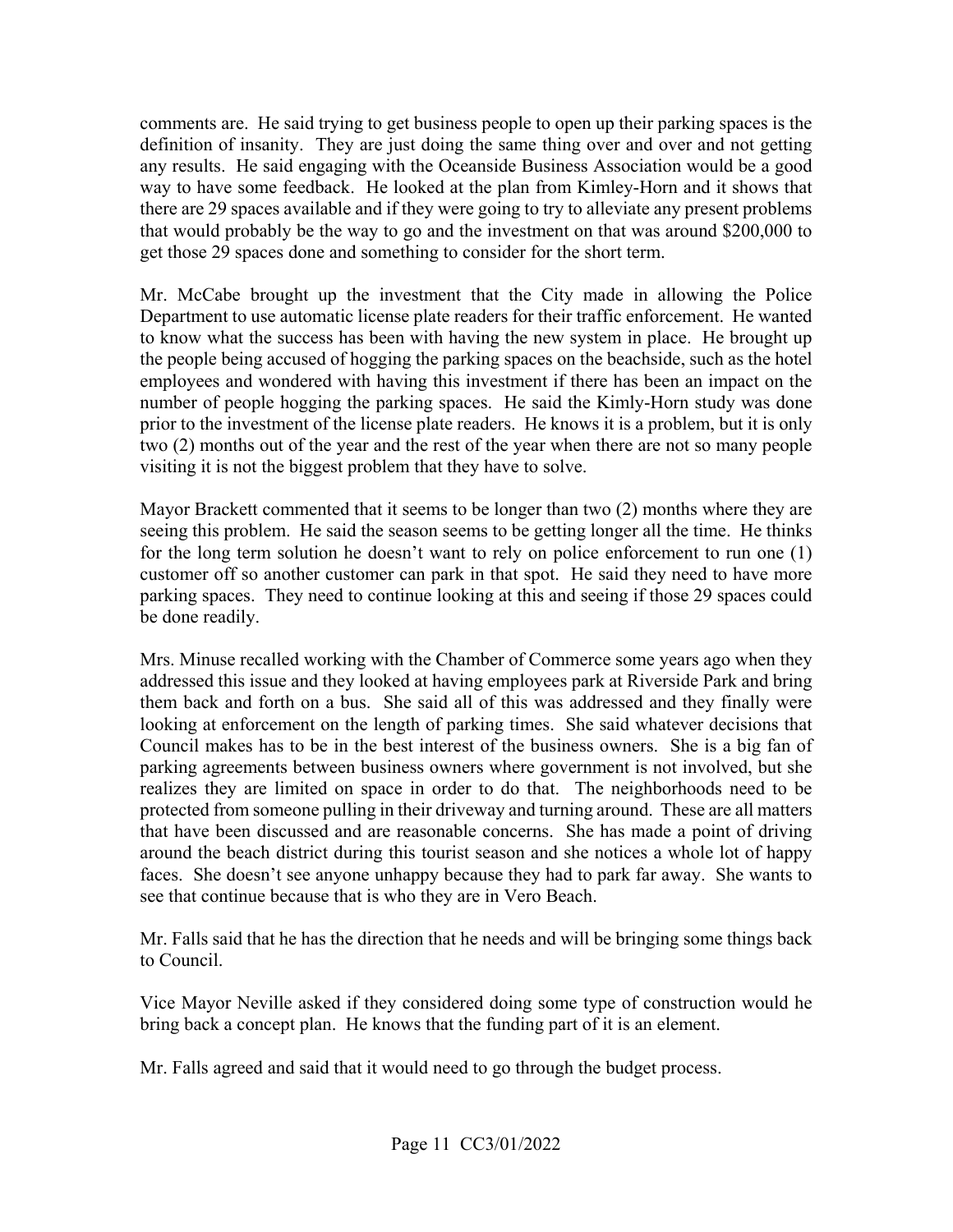comments are. He said trying to get business people to open up their parking spaces is the get those 29 spaces done and something to consider for the short term. definition of insanity. They are just doing the same thing over and over and not getting any results. He said engaging with the Oceanside Business Association would be a good way to have some feedback. He looked at the plan from Kimley-Horn and it shows that there are 29 spaces available and if they were going to try to alleviate any present problems that would probably be the way to go and the investment on that was around \$200,000 to

 to know what the success has been with having the new system in place. He brought up the people being accused of hogging the parking spaces on the beachside, such as the hotel prior to the investment of the license plate readers. He knows it is a problem, but it is only visiting it is not the biggest problem that they have to solve. Mr. McCabe brought up the investment that the City made in allowing the Police Department to use automatic license plate readers for their traffic enforcement. He wanted employees and wondered with having this investment if there has been an impact on the number of people hogging the parking spaces. He said the Kimly-Horn study was done two (2) months out of the year and the rest of the year when there are not so many people

 Mayor Brackett commented that it seems to be longer than two (2) months where they are for the long term solution he doesn't want to rely on police enforcement to run one (1) parking spaces. They need to continue looking at this and seeing if those 29 spaces could seeing this problem. He said the season seems to be getting longer all the time. He thinks customer off so another customer can park in that spot. He said they need to have more be done readily.

 them back and forth on a bus. She said all of this was addressed and they finally were parking agreements between business owners where government is not involved, but she protected from someone pulling in their driveway and turning around. These are all matters see that continue because that is who they are in Vero Beach. Mrs. Minuse recalled working with the Chamber of Commerce some years ago when they addressed this issue and they looked at having employees park at Riverside Park and bring looking at enforcement on the length of parking times. She said whatever decisions that Council makes has to be in the best interest of the business owners. She is a big fan of realizes they are limited on space in order to do that. The neighborhoods need to be that have been discussed and are reasonable concerns. She has made a point of driving around the beach district during this tourist season and she notices a whole lot of happy faces. She doesn't see anyone unhappy because they had to park far away. She wants to

Mr. Falls said that he has the direction that he needs and will be bringing some things back to Council.

Vice Mayor Neville asked if they considered doing some type of construction would he bring back a concept plan. He knows that the funding part of it is an element.

Mr. Falls agreed and said that it would need to go through the budget process.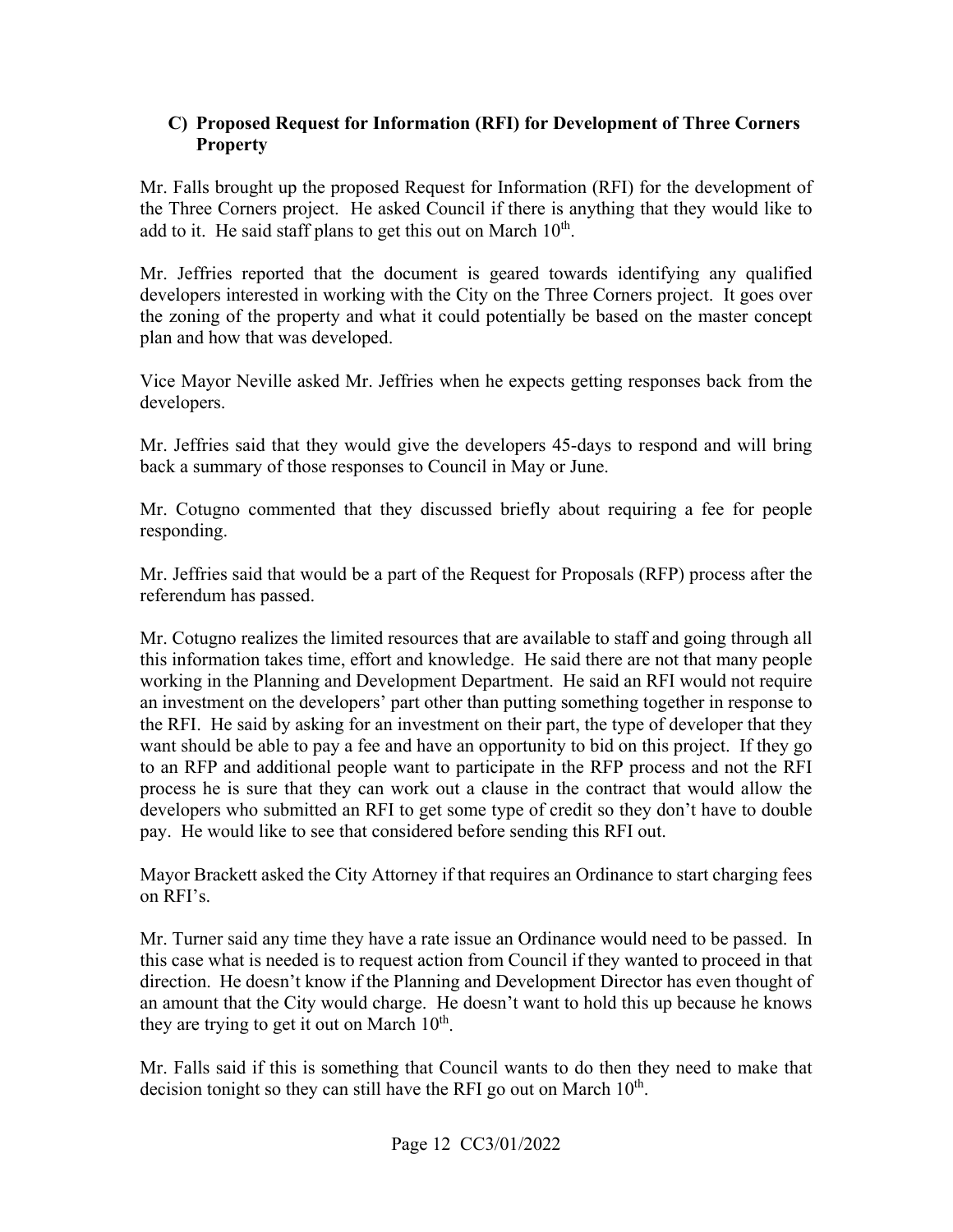#### **C) Proposed Request for Information (RFI) for Development of Three Corners Property**

add to it. He said staff plans to get this out on March  $10^{th}$ . Mr. Falls brought up the proposed Request for Information (RFI) for the development of the Three Corners project. He asked Council if there is anything that they would like to

 developers interested in working with the City on the Three Corners project. It goes over Mr. Jeffries reported that the document is geared towards identifying any qualified the zoning of the property and what it could potentially be based on the master concept plan and how that was developed.

Vice Mayor Neville asked Mr. Jeffries when he expects getting responses back from the developers.

Mr. Jeffries said that they would give the developers 45-days to respond and will bring back a summary of those responses to Council in May or June.

 Mr. Cotugno commented that they discussed briefly about requiring a fee for people responding.

 Mr. Jeffries said that would be a part of the Request for Proposals (RFP) process after the referendum has passed.

 Mr. Cotugno realizes the limited resources that are available to staff and going through all the RFI. He said by asking for an investment on their part, the type of developer that they want should be able to pay a fee and have an opportunity to bid on this project. If they go to an RFP and additional people want to participate in the RFP process and not the RFI process he is sure that they can work out a clause in the contract that would allow the this information takes time, effort and knowledge. He said there are not that many people working in the Planning and Development Department. He said an RFI would not require an investment on the developers' part other than putting something together in response to developers who submitted an RFI to get some type of credit so they don't have to double pay. He would like to see that considered before sending this RFI out.

 Mayor Brackett asked the City Attorney if that requires an Ordinance to start charging fees on RFI's.

 Mr. Turner said any time they have a rate issue an Ordinance would need to be passed. In this case what is needed is to request action from Council if they wanted to proceed in that direction. He doesn't know if the Planning and Development Director has even thought of an amount that the City would charge. He doesn't want to hold this up because he knows they are trying to get it out on March  $10^{th}$ .

 Mr. Falls said if this is something that Council wants to do then they need to make that decision tonight so they can still have the RFI go out on March  $10<sup>th</sup>$ .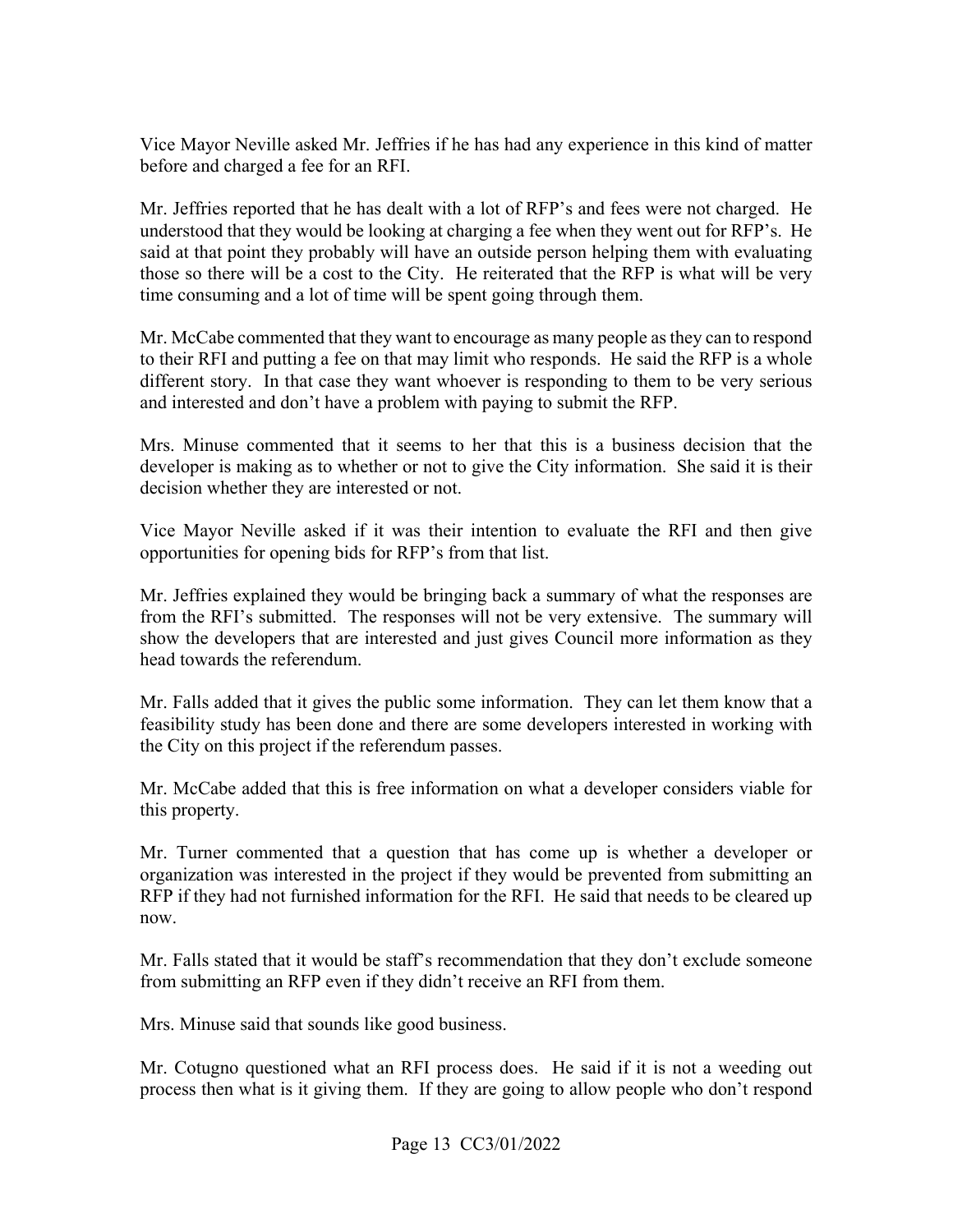Vice Mayor Neville asked Mr. Jeffries if he has had any experience in this kind of matter before and charged a fee for an RFI.

 Mr. Jeffries reported that he has dealt with a lot of RFP's and fees were not charged. He those so there will be a cost to the City. He reiterated that the RFP is what will be very understood that they would be looking at charging a fee when they went out for RFP's. He said at that point they probably will have an outside person helping them with evaluating time consuming and a lot of time will be spent going through them.

 Mr. McCabe commented that they want to encourage as many people as they can to respond different story. In that case they want whoever is responding to them to be very serious and interested and don't have a problem with paying to submit the RFP. to their RFI and putting a fee on that may limit who responds. He said the RFP is a whole

 developer is making as to whether or not to give the City information. She said it is their Mrs. Minuse commented that it seems to her that this is a business decision that the decision whether they are interested or not.

Vice Mayor Neville asked if it was their intention to evaluate the RFI and then give opportunities for opening bids for RFP's from that list.

 show the developers that are interested and just gives Council more information as they head towards the referendum. Mr. Jeffries explained they would be bringing back a summary of what the responses are from the RFI's submitted. The responses will not be very extensive. The summary will

the City on this project if the referendum passes. Mr. Falls added that it gives the public some information. They can let them know that a feasibility study has been done and there are some developers interested in working with

Mr. McCabe added that this is free information on what a developer considers viable for this property.

 Mr. Turner commented that a question that has come up is whether a developer or RFP if they had not furnished information for the RFI. He said that needs to be cleared up organization was interested in the project if they would be prevented from submitting an now.

 from submitting an RFP even if they didn't receive an RFI from them. Mr. Falls stated that it would be staff's recommendation that they don't exclude someone

Mrs. Minuse said that sounds like good business.

Mr. Cotugno questioned what an RFI process does. He said if it is not a weeding out process then what is it giving them. If they are going to allow people who don't respond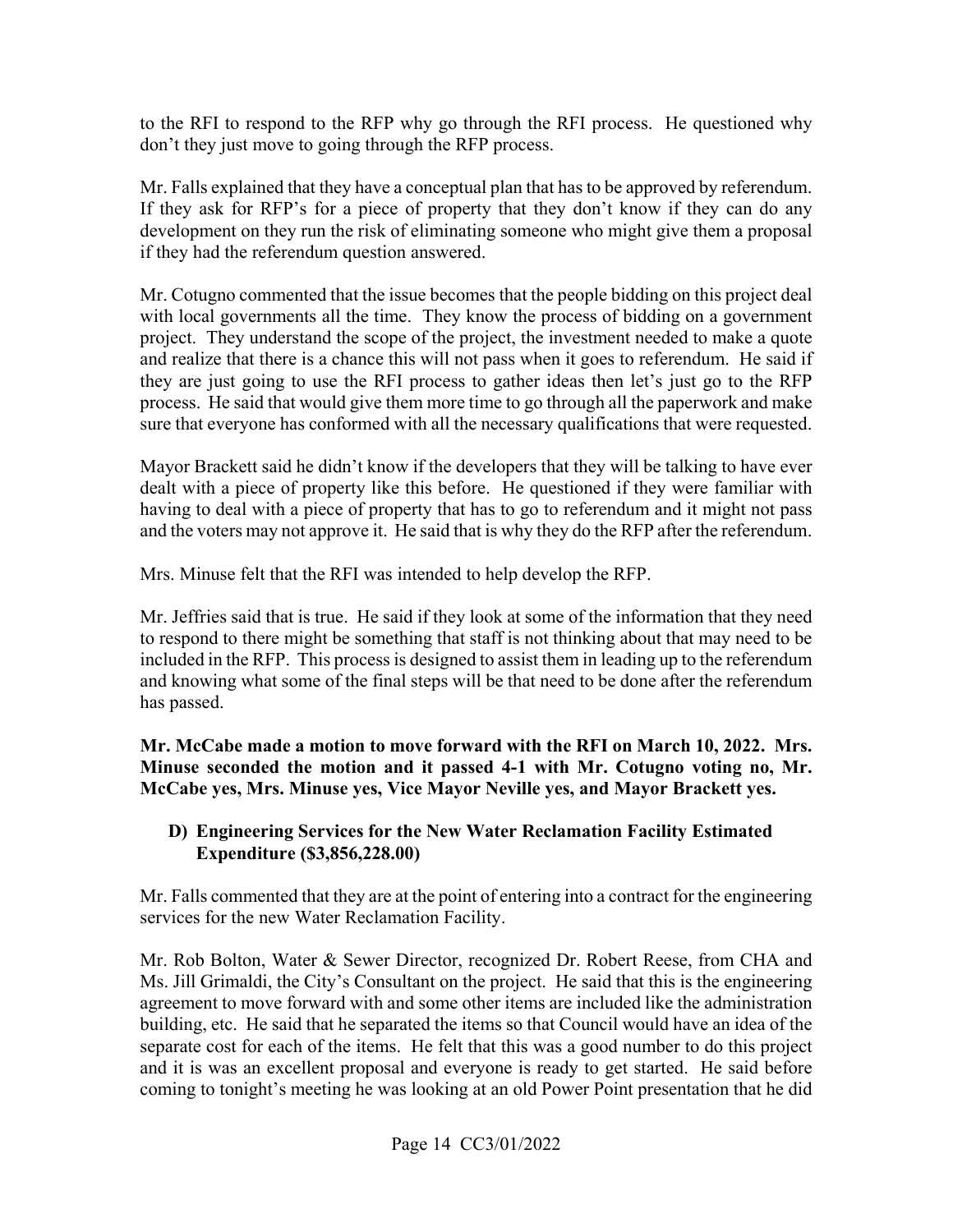don't they just move to going through the RFP process. to the RFI to respond to the RFP why go through the RFI process. He questioned why

don't they just move to going through the RFP process.<br>Mr. Falls explained that they have a conceptual plan that has to be approved by referendum.<br>If they ask for RFP's for a piece of property that they don't know if they development on they run the risk of eliminating someone who might give them a proposal if they had the referendum question answered.

 with local governments all the time. They know the process of bidding on a government process. He said that would give them more time to go through all the paperwork and make sure that everyone has conformed with all the necessary qualifications that were requested. Mr. Cotugno commented that the issue becomes that the people bidding on this project deal project. They understand the scope of the project, the investment needed to make a quote and realize that there is a chance this will not pass when it goes to referendum. He said if they are just going to use the RFI process to gather ideas then let's just go to the RFP

 sure that everyone has conformed with all the necessary qualifications that were requested. Mayor Brackett said he didn't know if the developers that they will be talking to have ever dealt with a piece of property like this before. He questioned if they were familiar with and the voters may not approve it. He said that is why they do the RFP after the referendum. having to deal with a piece of property that has to go to referendum and it might not pass

Mrs. Minuse felt that the RFI was intended to help develop the RFP.

 to respond to there might be something that staff is not thinking about that may need to be and knowing what some of the final steps will be that need to be done after the referendum has passed. Mr. Jeffries said that is true. He said if they look at some of the information that they need included in the RFP. This process is designed to assist them in leading up to the referendum

McCabe ves, Mrs. Minuse ves, Vice Mayor Neville ves, and Mayor Brackett ves. **Mr. McCabe made a motion to move forward with the RFI on March 10, 2022. Mrs. Minuse seconded the motion and it passed 4-1 with Mr. Cotugno voting no, Mr.** 

#### **D) Engineering Services for the New Water Reclamation Facility Estimated Expenditure ([\\$3,856,228.00\)](https://3,856,228.00)**

services for the new Water Reclamation Facility. Mr. Falls commented that they are at the point of entering into a contract for the engineering

 agreement to move forward with and some other items are included like the administration Mr. Rob Bolton, Water & Sewer Director, recognized Dr. Robert Reese, from CHA and Ms. Jill Grimaldi, the City's Consultant on the project. He said that this is the engineering building, etc. He said that he separated the items so that Council would have an idea of the separate cost for each of the items. He felt that this was a good number to do this project and it is was an excellent proposal and everyone is ready to get started. He said before coming to tonight's meeting he was looking at an old Power Point presentation that he did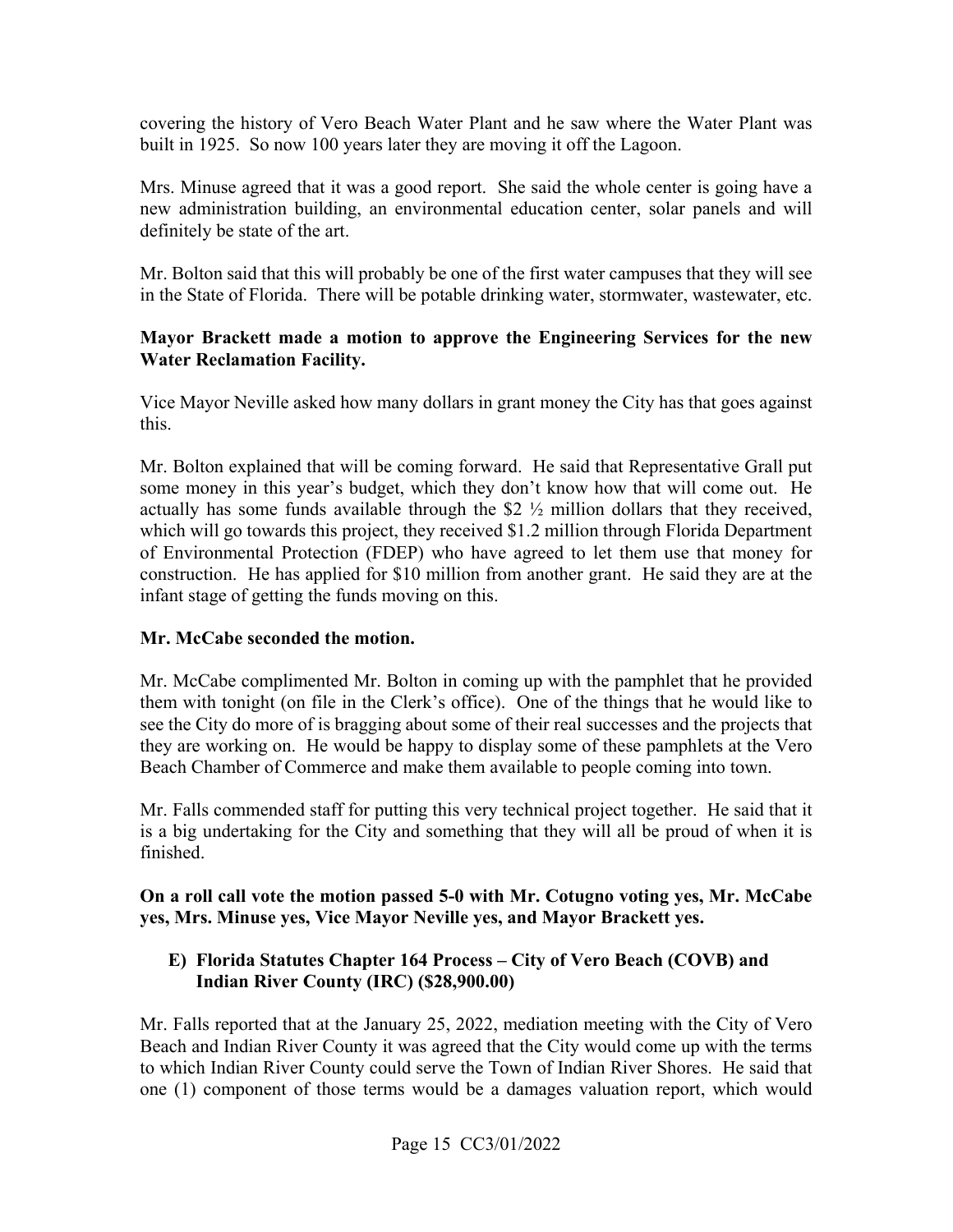covering the history of Vero Beach Water Plant and he saw where the Water Plant was built in 1925. So now 100 years later they are moving it off the Lagoon.

 Mrs. Minuse agreed that it was a good report. She said the whole center is going have a new administration building, an environmental education center, solar panels and will definitely be state of the art.

 in the State of Florida. There will be potable drinking water, stormwater, wastewater, etc. Mr. Bolton said that this will probably be one of the first water campuses that they will see

#### **Mayor Brackett made a motion to approve the Engineering Services for the new Water Reclamation Facility.**

 Vice Mayor Neville asked how many dollars in grant money the City has that goes against this.

 actually has some funds available through the \$2 ½ million dollars that they received, Mr. Bolton explained that will be coming forward. He said that Representative Grall put some money in this year's budget, which they don't know how that will come out. He which will go towards this project, they received \$1.2 million through Florida Department of Environmental Protection (FDEP) who have agreed to let them use that money for construction. He has applied for \$10 million from another grant. He said they are at the infant stage of getting the funds moving on this.

#### **Mr. McCabe seconded the motion.**

 see the City do more of is bragging about some of their real successes and the projects that they are working on. He would be happy to display some of these pamphlets at the Vero Beach Chamber of Commerce and make them available to people coming into town. Mr. McCabe complimented Mr. Bolton in coming up with the pamphlet that he provided them with tonight (on file in the Clerk's office). One of the things that he would like to

 Mr. Falls commended staff for putting this very technical project together. He said that it is a big undertaking for the City and something that they will all be proud of when it is finished.

#### **On a roll call vote the motion passed 5-0 with Mr. Cotugno voting yes, Mr. McCabe yes, Mrs. Minuse yes, Vice Mayor Neville yes, and Mayor Brackett yes.**

#### **E) Florida Statutes Chapter 164 Process – City of Vero Beach (COVB) and Indian River County (IRC) (\$[28,900.00\)](https://28,900.00)**

 Beach and Indian River County it was agreed that the City would come up with the terms one (1) component of those terms would be a damages valuation report, which would Mr. Falls reported that at the January 25, 2022, mediation meeting with the City of Vero to which Indian River County could serve the Town of Indian River Shores. He said that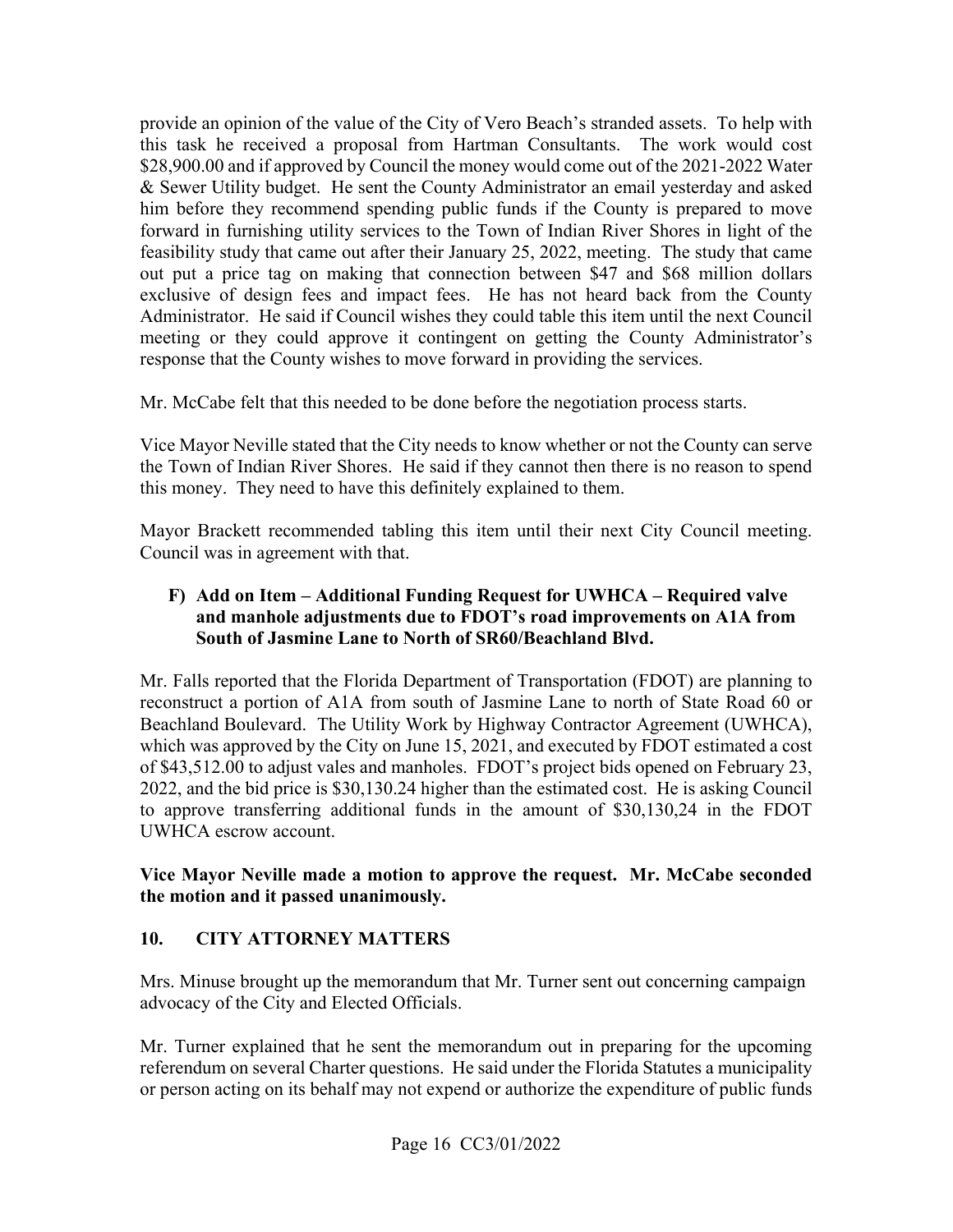him before they recommend spending public funds if the County is prepared to move forward in furnishing utility services to the Town of Indian River Shores in light of the feasibility study that came out after their January 25, 2022, meeting. The study that came exclusive of design fees and impact fees. He has not heard back from the County provide an opinion of the value of the City of Vero Beach's stranded assets. To help with this task he received a proposal from Hartman Consultants. The work would cost \$[28,900.00](https://28,900.00) and if approved by Council the money would come out of the 2021-2022 Water & Sewer Utility budget. He sent the County Administrator an email yesterday and asked out put a price tag on making that connection between \$47 and \$68 million dollars Administrator. He said if Council wishes they could table this item until the next Council meeting or they could approve it contingent on getting the County Administrator's response that the County wishes to move forward in providing the services.

Mr. McCabe felt that this needed to be done before the negotiation process starts.

Vice Mayor Neville stated that the City needs to know whether or not the County can serve the Town of Indian River Shores. He said if they cannot then there is no reason to spend this money. They need to have this definitely explained to them.

Mayor Brackett recommended tabling this item until their next City Council meeting. Council was in agreement with that.

#### **F) Add on Item – Additional Funding Request for UWHCA – Required valve and manhole adjustments due to FDOT's road improvements on A1A from South of Jasmine Lane to North of SR60/Beachland Blvd.**

 reconstruct a portion of A1A from south of Jasmine Lane to north of State Road 60 or of \$[43,512.00](https://43,512.00) to adjust vales and manholes. FDOT's project bids opened on February 23, UWHCA escrow account. Mr. Falls reported that the Florida Department of Transportation (FDOT) are planning to Beachland Boulevard. The Utility Work by Highway Contractor Agreement (UWHCA), which was approved by the City on June 15, 2021, and executed by FDOT estimated a cost 2022, and the bid price is \$[30,130.24](https://30,130.24) higher than the estimated cost. He is asking Council to approve transferring additional funds in the amount of \$30,130,24 in the FDOT

**Vice Mayor Neville made a motion to approve the request. Mr. McCabe seconded the motion and it passed unanimously.** 

#### **10. CITY ATTORNEY MATTERS**

 Mrs. Minuse brought up the memorandum that Mr. Turner sent out concerning campaign advocacy of the City and Elected Officials.

Mr. Turner explained that he sent the memorandum out in preparing for the upcoming referendum on several Charter questions. He said under the Florida Statutes a municipality or person acting on its behalf may not expend or authorize the expenditure of public funds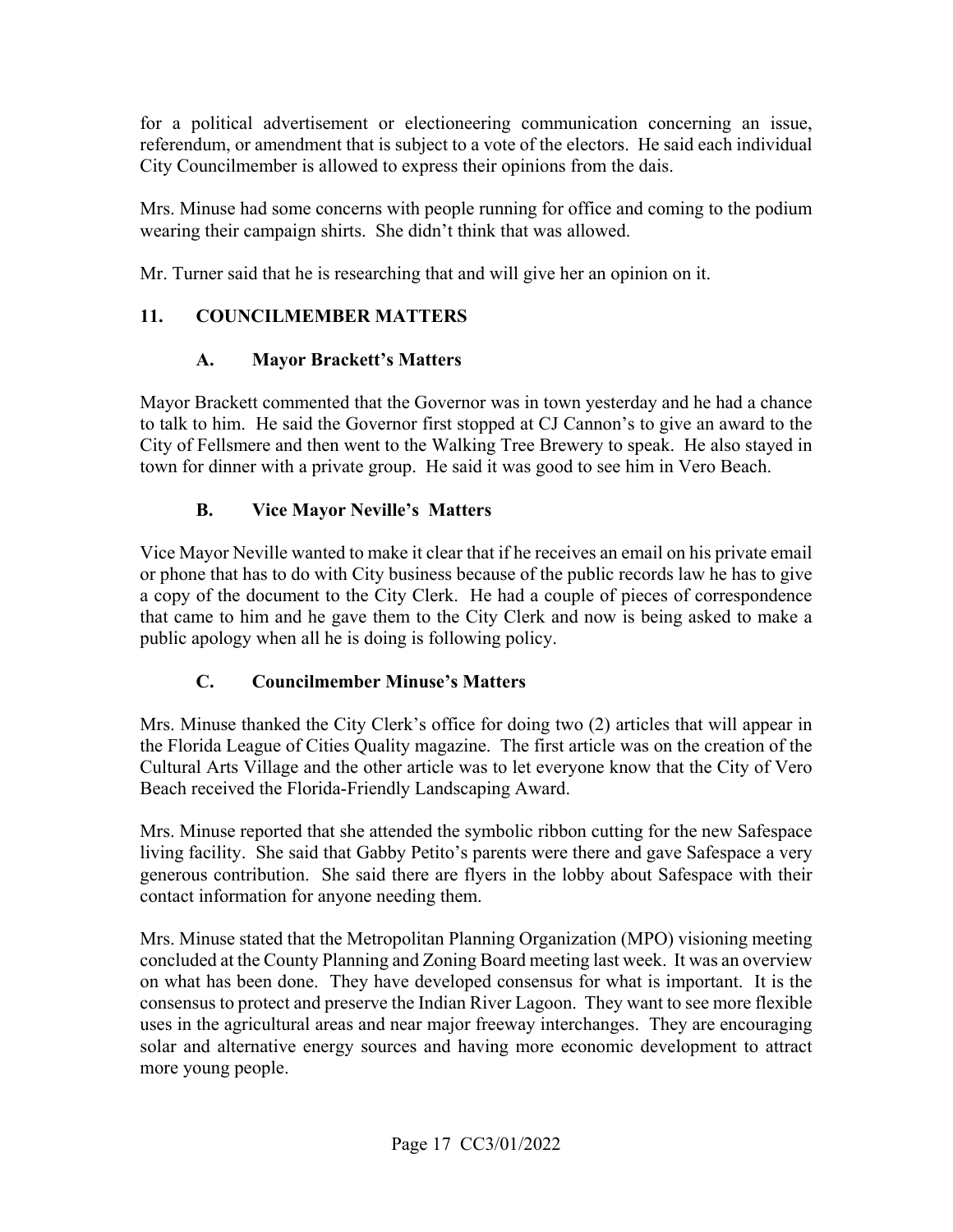City Councilmember is allowed to express their opinions from the dais. for a political advertisement or electioneering communication concerning an issue, referendum, or amendment that is subject to a vote of the electors. He said each individual

Mrs. Minuse had some concerns with people running for office and coming to the podium wearing their campaign shirts. She didn't think that was allowed.

Mr. Turner said that he is researching that and will give her an opinion on it.

## **11. COUNCILMEMBER MATTERS**

#### **A. Mayor Brackett's Matters**

 to talk to him. He said the Governor first stopped at CJ Cannon's to give an award to the City of Fellsmere and then went to the Walking Tree Brewery to speak. He also stayed in Mayor Brackett commented that the Governor was in town yesterday and he had a chance town for dinner with a private group. He said it was good to see him in Vero Beach.

## **B. Vice Mayor Neville's Matters**

Vice Mayor Neville wanted to make it clear that if he receives an email on his private email or phone that has to do with City business because of the public records law he has to give a copy of the document to the City Clerk. He had a couple of pieces of correspondence that came to him and he gave them to the City Clerk and now is being asked to make a public apology when all he is doing is following policy.

## **C. Councilmember Minuse's Matters**

 the Florida League of Cities Quality magazine. The first article was on the creation of the Mrs. Minuse thanked the City Clerk's office for doing two (2) articles that will appear in Cultural Arts Village and the other article was to let everyone know that the City of Vero Beach received the Florida-Friendly Landscaping Award.

 Mrs. Minuse reported that she attended the symbolic ribbon cutting for the new Safespace living facility. She said that Gabby Petito's parents were there and gave Safespace a very generous contribution. She said there are flyers in the lobby about Safespace with their contact information for anyone needing them.

 Mrs. Minuse stated that the Metropolitan Planning Organization (MPO) visioning meeting on what has been done. They have developed consensus for what is important. It is the concluded at the County Planning and Zoning Board meeting last week. It was an overview consensus to protect and preserve the Indian River Lagoon. They want to see more flexible uses in the agricultural areas and near major freeway interchanges. They are encouraging solar and alternative energy sources and having more economic development to attract more young people.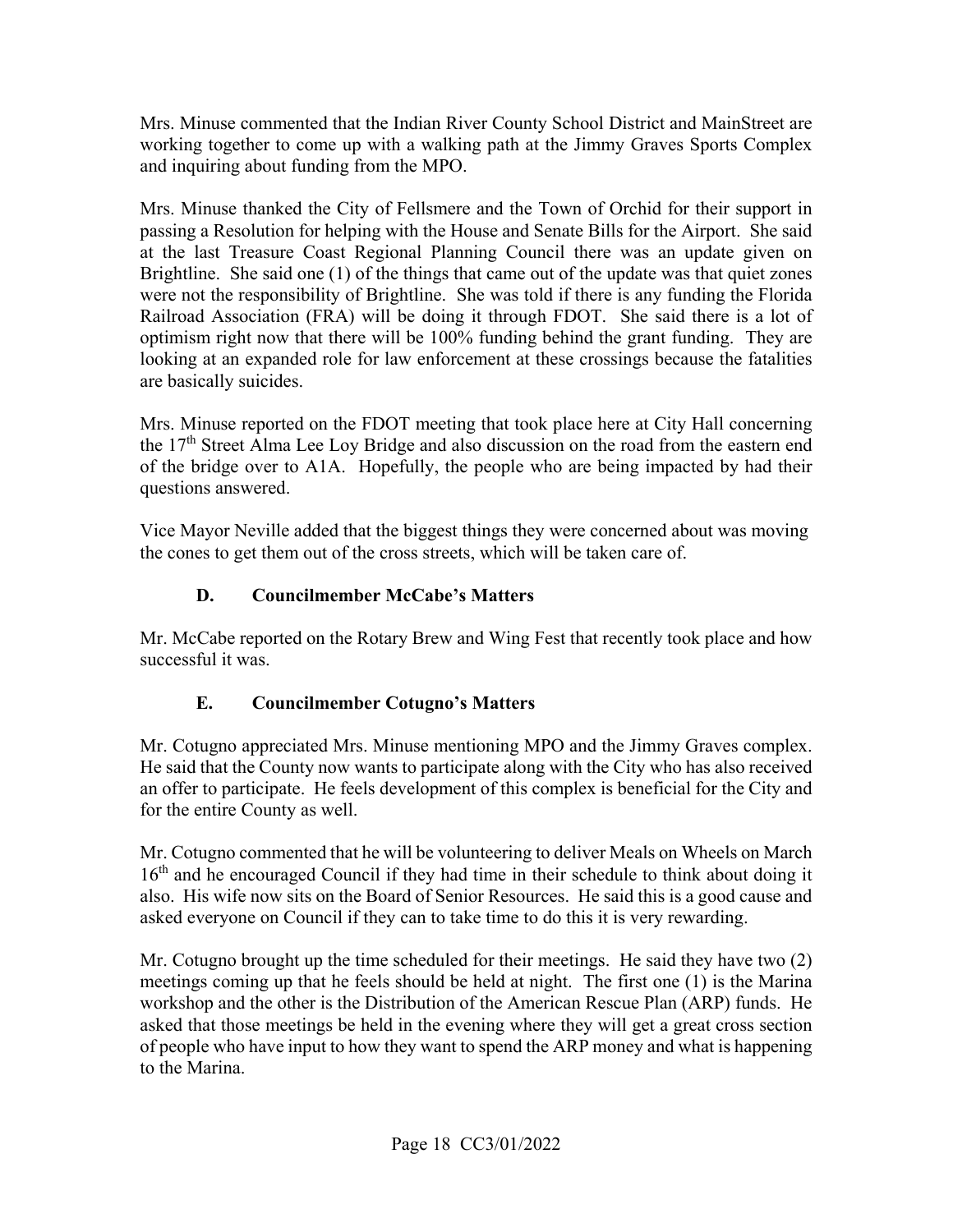Mrs. Minuse commented that the Indian River County School District and MainStreet are working together to come up with a walking path at the Jimmy Graves Sports Complex and inquiring about funding from the MPO.

 Mrs. Minuse thanked the City of Fellsmere and the Town of Orchid for their support in passing a Resolution for helping with the House and Senate Bills for the Airport. She said Brightline. She said one (1) of the things that came out of the update was that quiet zones Railroad Association (FRA) will be doing it through FDOT. She said there is a lot of at the last Treasure Coast Regional Planning Council there was an update given on were not the responsibility of Brightline. She was told if there is any funding the Florida optimism right now that there will be 100% funding behind the grant funding. They are looking at an expanded role for law enforcement at these crossings because the fatalities are basically suicides.

questions answered. Mrs. Minuse reported on the FDOT meeting that took place here at City Hall concerning the 17<sup>th</sup> Street Alma Lee Loy Bridge and also discussion on the road from the eastern end of the bridge over to A1A. Hopefully, the people who are being impacted by had their

questions answered.<br>Vice Mayor Neville added that the biggest things they were concerned about was moving the cones to get them out of the cross streets, which will be taken care of.

#### **D. Councilmember McCabe's Matters**

 successful it was. Mr. McCabe reported on the Rotary Brew and Wing Fest that recently took place and how

#### **E. Councilmember Cotugno's Matters**

 for the entire County as well. Mr. Cotugno appreciated Mrs. Minuse mentioning MPO and the Jimmy Graves complex. He said that the County now wants to participate along with the City who has also received an offer to participate. He feels development of this complex is beneficial for the City and

16<sup>th</sup> and he encouraged Council if they had time in their schedule to think about doing it also. His wife now sits on the Board of Senior Resources. He said this is a good cause and Mr. Cotugno commented that he will be volunteering to deliver Meals on Wheels on March asked everyone on Council if they can to take time to do this it is very rewarding.

 Mr. Cotugno brought up the time scheduled for their meetings. He said they have two (2) workshop and the other is the Distribution of the American Rescue Plan (ARP) funds. He to the Marina. meetings coming up that he feels should be held at night. The first one (1) is the Marina asked that those meetings be held in the evening where they will get a great cross section of people who have input to how they want to spend the ARP money and what is happening to the Marina.<br>Page 18  $CC3/01/2022$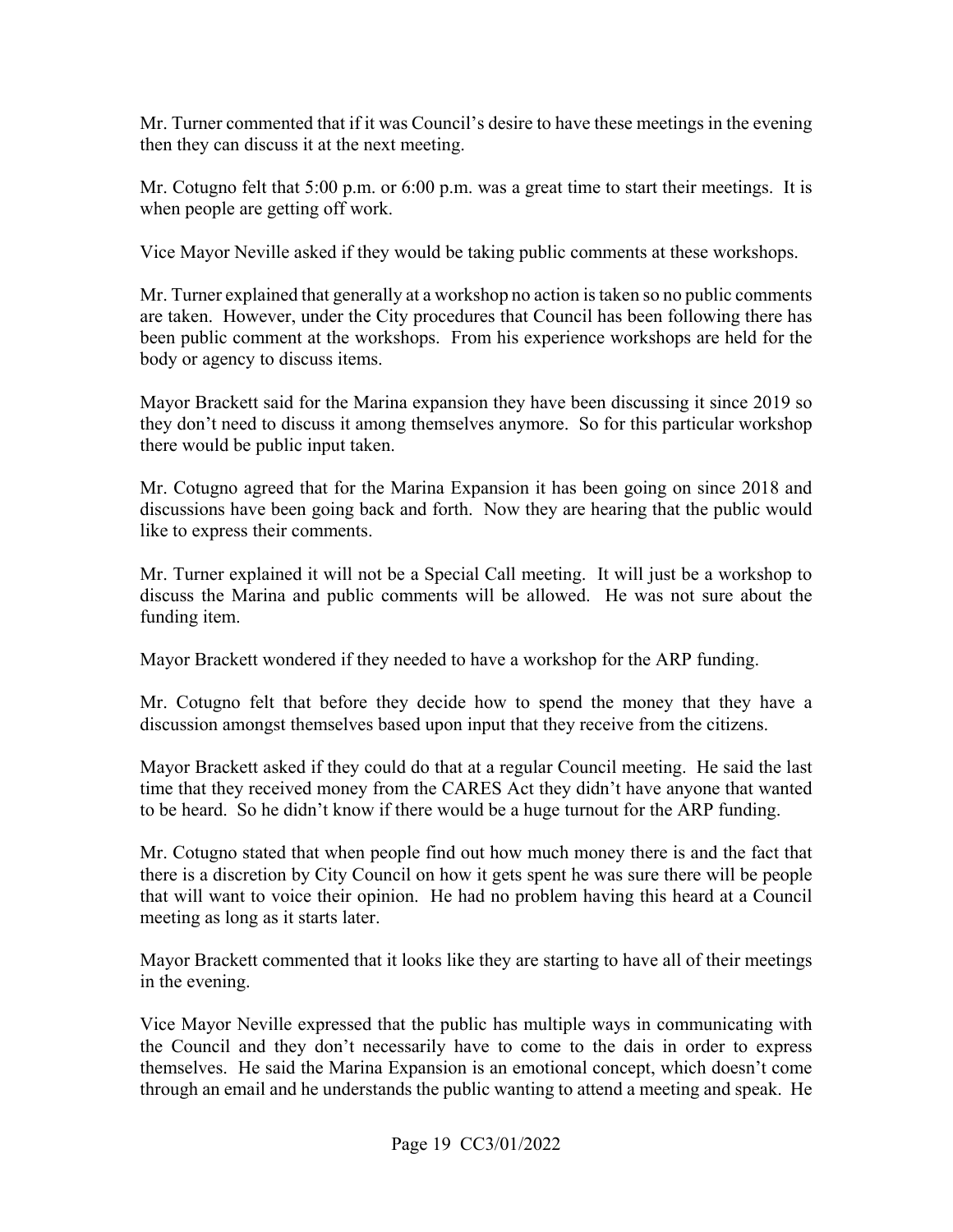then they can discuss it at the next meeting. Mr. Turner commented that if it was Council's desire to have these meetings in the evening

 when people are getting off work. Mr. Cotugno felt that 5:00 p.m. or 6:00 p.m. was a great time to start their meetings. It is

Vice Mayor Neville asked if they would be taking public comments at these workshops.

 been public comment at the workshops. From his experience workshops are held for the Mr. Turner explained that generally at a workshop no action is taken so no public comments are taken. However, under the City procedures that Council has been following there has body or agency to discuss items.

Mayor Brackett said for the Marina expansion they have been discussing it since 2019 so they don't need to discuss it among themselves anymore. So for this particular workshop there would be public input taken.

 discussions have been going back and forth. Now they are hearing that the public would Mr. Cotugno agreed that for the Marina Expansion it has been going on since 2018 and like to express their comments.

 discuss the Marina and public comments will be allowed. He was not sure about the Mr. Turner explained it will not be a Special Call meeting. It will just be a workshop to funding item.

Mayor Brackett wondered if they needed to have a workshop for the ARP funding.

 Mr. Cotugno felt that before they decide how to spend the money that they have a discussion amongst themselves based upon input that they receive from the citizens.

 Mayor Brackett asked if they could do that at a regular Council meeting. He said the last time that they received money from the CARES Act they didn't have anyone that wanted to be heard. So he didn't know if there would be a huge turnout for the ARP funding.

 that will want to voice their opinion. He had no problem having this heard at a Council Mr. Cotugno stated that when people find out how much money there is and the fact that there is a discretion by City Council on how it gets spent he was sure there will be people meeting as long as it starts later.

in the evening. Mayor Brackett commented that it looks like they are starting to have all of their meetings

in the evening.<br>Vice Mayor Neville expressed that the public has multiple ways in communicating with themselves. He said the Marina Expansion is an emotional concept, which doesn't come the Council and they don't necessarily have to come to the dais in order to express through an email and he understands the public wanting to attend a meeting and speak. He